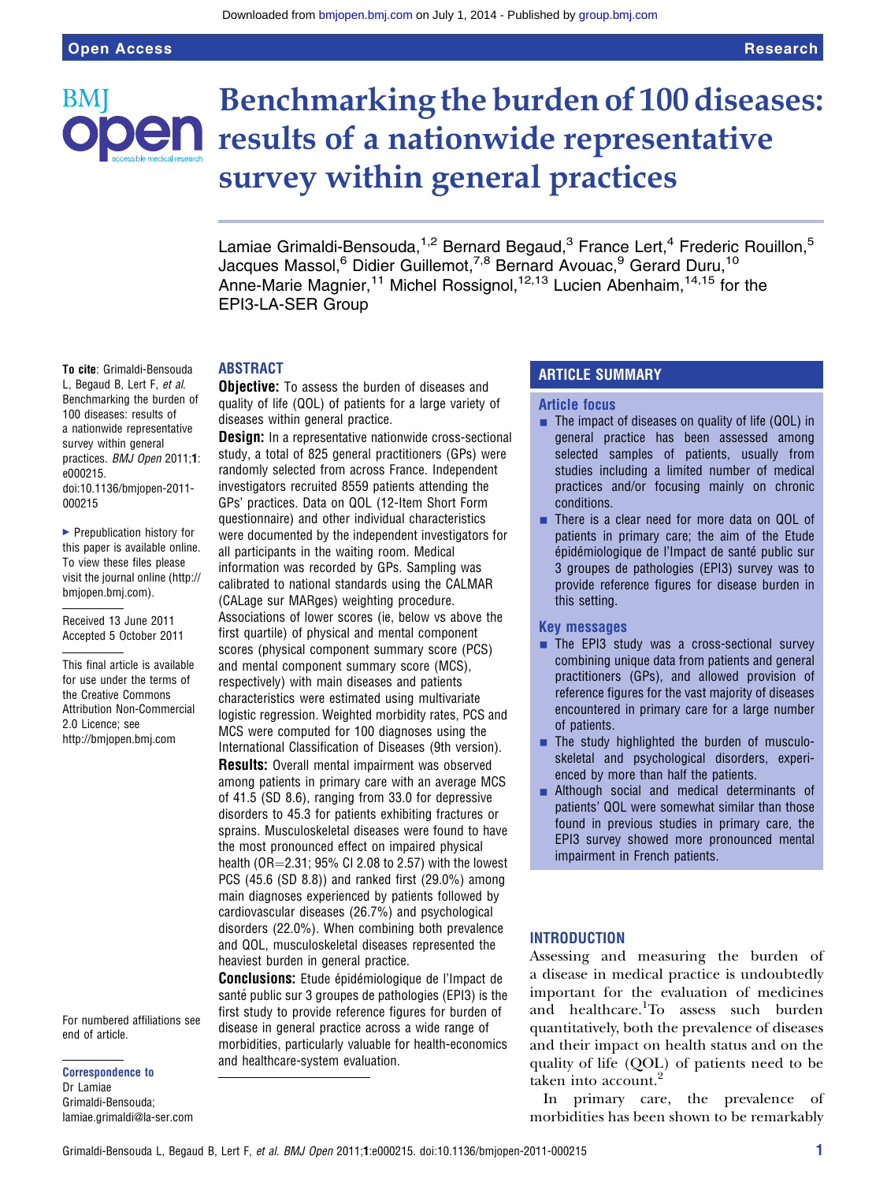

# Benchmarking the burden of 100 diseases:  $en$  results of a nationwide representative survey within general practices

Lamiae Grimaldi-Bensouda,<sup>1,2</sup> Bernard Begaud,<sup>3</sup> France Lert,<sup>4</sup> Frederic Rouillon,<sup>5</sup> Jacques Massol,<sup>6</sup> Didier Guillemot,<sup>7,8</sup> Bernard Avouac,<sup>9</sup> Gerard Duru,<sup>10</sup> Anne-Marie Magnier,<sup>11</sup> Michel Rossignol,<sup>12,13</sup> Lucien Abenhaim,<sup>14,15</sup> for the EPI3-LA-SER Group

# ABSTRACT

**Objective:** To assess the burden of diseases and quality of life (QOL) of patients for a large variety of diseases within general practice.

**Design:** In a representative nationwide cross-sectional study, a total of 825 general practitioners (GPs) were randomly selected from across France. Independent investigators recruited 8559 patients attending the GPs' practices. Data on QOL (12-Item Short Form questionnaire) and other individual characteristics were documented by the independent investigators for all participants in the waiting room. Medical information was recorded by GPs. Sampling was calibrated to national standards using the CALMAR (CALage sur MARges) weighting procedure. Associations of lower scores (ie, below vs above the first quartile) of physical and mental component scores (physical component summary score (PCS) and mental component summary score (MCS), respectively) with main diseases and patients characteristics were estimated using multivariate logistic regression. Weighted morbidity rates, PCS and MCS were computed for 100 diagnoses using the International Classification of Diseases (9th version). Results: Overall mental impairment was observed among patients in primary care with an average MCS of 41.5 (SD 8.6), ranging from 33.0 for depressive disorders to 45.3 for patients exhibiting fractures or sprains. Musculoskeletal diseases were found to have the most pronounced effect on impaired physical health ( $OR = 2.31$ ; 95% CI 2.08 to 2.57) with the lowest PCS (45.6 (SD 8.8)) and ranked first (29.0%) among main diagnoses experienced by patients followed by cardiovascular diseases (26.7%) and psychological disorders (22.0%). When combining both prevalence and QOL, musculoskeletal diseases represented the heaviest burden in general practice.

Conclusions: Etude épidémiologique de l'Impact de santé public sur 3 groupes de pathologies (EPI3) is the first study to provide reference figures for burden of disease in general practice across a wide range of morbidities, particularly valuable for health-economics and healthcare-system evaluation.

# ARTICLE SUMMARY

#### Article focus

- $\blacksquare$  The impact of diseases on quality of life (QOL) in general practice has been assessed among selected samples of patients, usually from studies including a limited number of medical practices and/or focusing mainly on chronic conditions.
- There is a clear need for more data on QOL of patients in primary care; the aim of the Etude épidémiologique de l'Impact de santé public sur 3 groupes de pathologies (EPI3) survey was to provide reference figures for disease burden in this setting.

#### Key messages

- **The EPI3 study was a cross-sectional survey** combining unique data from patients and general practitioners (GPs), and allowed provision of reference figures for the vast majority of diseases encountered in primary care for a large number of patients.
- **The study highlighted the burden of musculo**skeletal and psychological disorders, experienced by more than half the patients.
- **-** Although social and medical determinants of patients' QOL were somewhat similar than those found in previous studies in primary care, the EPI3 survey showed more pronounced mental impairment in French patients.

# **INTRODUCTION**

Assessing and measuring the burden of a disease in medical practice is undoubtedly important for the evaluation of medicines and healthcare.<sup>1</sup>To assess such burden quantitatively, both the prevalence of diseases and their impact on health status and on the quality of life (QOL) of patients need to be taken into account.<sup>2</sup>

In primary care, the prevalence of morbidities has been shown to be remarkably

To cite: Grimaldi-Bensouda L, Begaud B, Lert F, et al. Benchmarking the burden of 100 diseases: results of a nationwide representative survey within general practices. BMJ Open 2011;1: e000215. doi:10.1136/bmjopen-2011- 000215

 $\blacktriangleright$  Prepublication history for this paper is available online. To view these files please visit the journal online (http:// bmjopen.bmj.com).

Received 13 June 2011 Accepted 5 October 2011

This final article is available for use under the terms of the Creative Commons Attribution Non-Commercial 2.0 Licence; see http://bmjopen.bmj.com

For numbered affiliations see end of article.

Correspondence to Dr Lamiae Grimaldi-Bensouda; lamiae.grimaldi@la-ser.com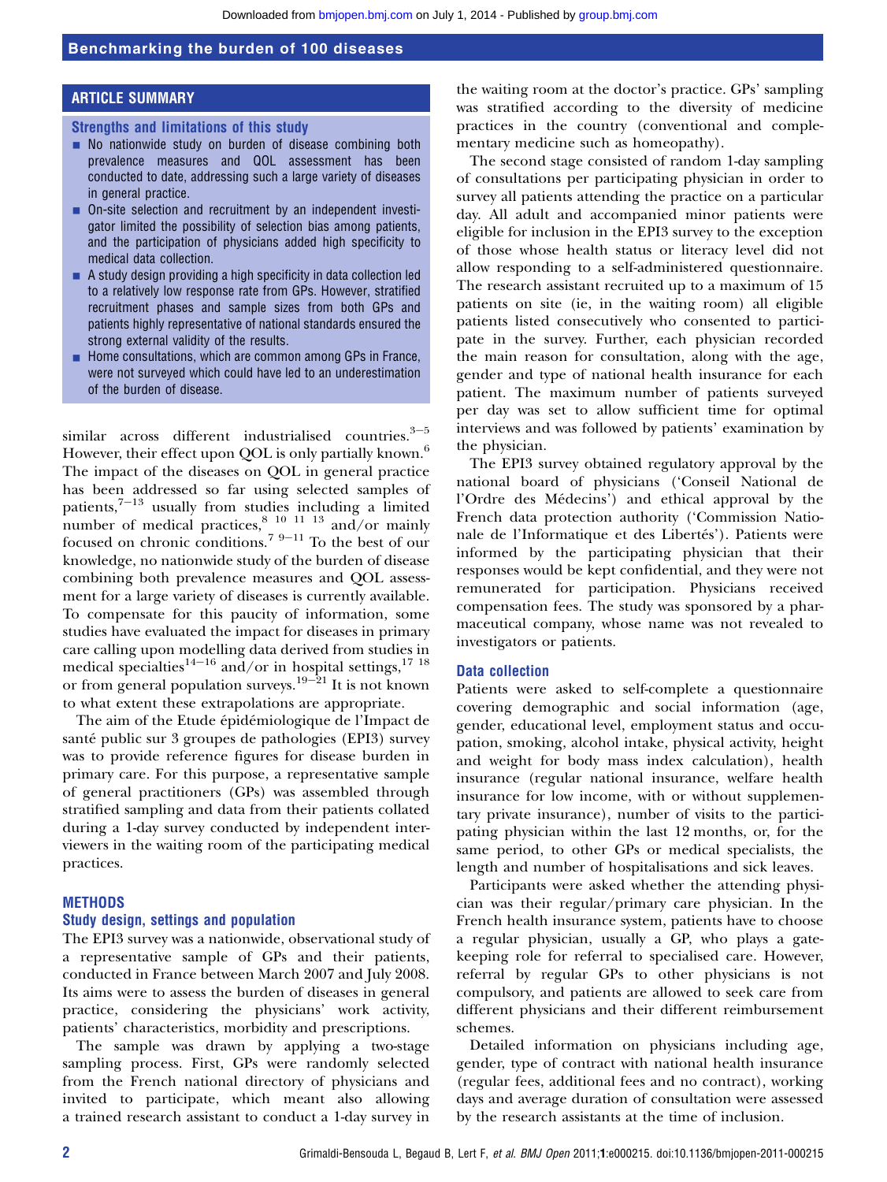# ARTICLE SUMMARY

#### Strengths and limitations of this study

- $\blacksquare$  No nationwide study on burden of disease combining both prevalence measures and QOL assessment has been conducted to date, addressing such a large variety of diseases in general practice.
- **-** On-site selection and recruitment by an independent investigator limited the possibility of selection bias among patients, and the participation of physicians added high specificity to medical data collection.
- $\blacksquare$  A study design providing a high specificity in data collection led to a relatively low response rate from GPs. However, stratified recruitment phases and sample sizes from both GPs and patients highly representative of national standards ensured the strong external validity of the results.
- $\blacksquare$  Home consultations, which are common among GPs in France, were not surveyed which could have led to an underestimation of the burden of disease.

similar across different industrialised countries. $3-5$ However, their effect upon QOL is only partially known.<sup>6</sup> The impact of the diseases on QOL in general practice has been addressed so far using selected samples of patients, $7-13$  usually from studies including a limited number of medical practices, $8 \frac{10 \times 11}{13}$  and/or mainly focused on chronic conditions.<sup>7 9–11</sup> To the best of our knowledge, no nationwide study of the burden of disease combining both prevalence measures and QOL assessment for a large variety of diseases is currently available. To compensate for this paucity of information, some studies have evaluated the impact for diseases in primary care calling upon modelling data derived from studies in medical specialties<sup>14–16</sup> and/or in hospital settings,<sup>17 18</sup> or from general population surveys.<sup>19-21</sup> It is not known to what extent these extrapolations are appropriate.

The aim of the Etude épidémiologique de l'Impact de santé public sur 3 groupes de pathologies (EPI3) survey was to provide reference figures for disease burden in primary care. For this purpose, a representative sample of general practitioners (GPs) was assembled through stratified sampling and data from their patients collated during a 1-day survey conducted by independent interviewers in the waiting room of the participating medical practices.

## **METHODS**

#### Study design, settings and population

The EPI3 survey was a nationwide, observational study of a representative sample of GPs and their patients, conducted in France between March 2007 and July 2008. Its aims were to assess the burden of diseases in general practice, considering the physicians' work activity, patients' characteristics, morbidity and prescriptions.

The sample was drawn by applying a two-stage sampling process. First, GPs were randomly selected from the French national directory of physicians and invited to participate, which meant also allowing a trained research assistant to conduct a 1-day survey in

the waiting room at the doctor's practice. GPs' sampling was stratified according to the diversity of medicine practices in the country (conventional and complementary medicine such as homeopathy).

The second stage consisted of random 1-day sampling of consultations per participating physician in order to survey all patients attending the practice on a particular day. All adult and accompanied minor patients were eligible for inclusion in the EPI3 survey to the exception of those whose health status or literacy level did not allow responding to a self-administered questionnaire. The research assistant recruited up to a maximum of 15 patients on site (ie, in the waiting room) all eligible patients listed consecutively who consented to participate in the survey. Further, each physician recorded the main reason for consultation, along with the age, gender and type of national health insurance for each patient. The maximum number of patients surveyed per day was set to allow sufficient time for optimal interviews and was followed by patients' examination by the physician.

The EPI3 survey obtained regulatory approval by the national board of physicians ('Conseil National de l'Ordre des Médecins') and ethical approval by the French data protection authority ('Commission Nationale de l'Informatique et des Libertés'). Patients were informed by the participating physician that their responses would be kept confidential, and they were not remunerated for participation. Physicians received compensation fees. The study was sponsored by a pharmaceutical company, whose name was not revealed to investigators or patients.

#### Data collection

Patients were asked to self-complete a questionnaire covering demographic and social information (age, gender, educational level, employment status and occupation, smoking, alcohol intake, physical activity, height and weight for body mass index calculation), health insurance (regular national insurance, welfare health insurance for low income, with or without supplementary private insurance), number of visits to the participating physician within the last 12 months, or, for the same period, to other GPs or medical specialists, the length and number of hospitalisations and sick leaves.

Participants were asked whether the attending physician was their regular/primary care physician. In the French health insurance system, patients have to choose a regular physician, usually a GP, who plays a gatekeeping role for referral to specialised care. However, referral by regular GPs to other physicians is not compulsory, and patients are allowed to seek care from different physicians and their different reimbursement schemes.

Detailed information on physicians including age, gender, type of contract with national health insurance (regular fees, additional fees and no contract), working days and average duration of consultation were assessed by the research assistants at the time of inclusion.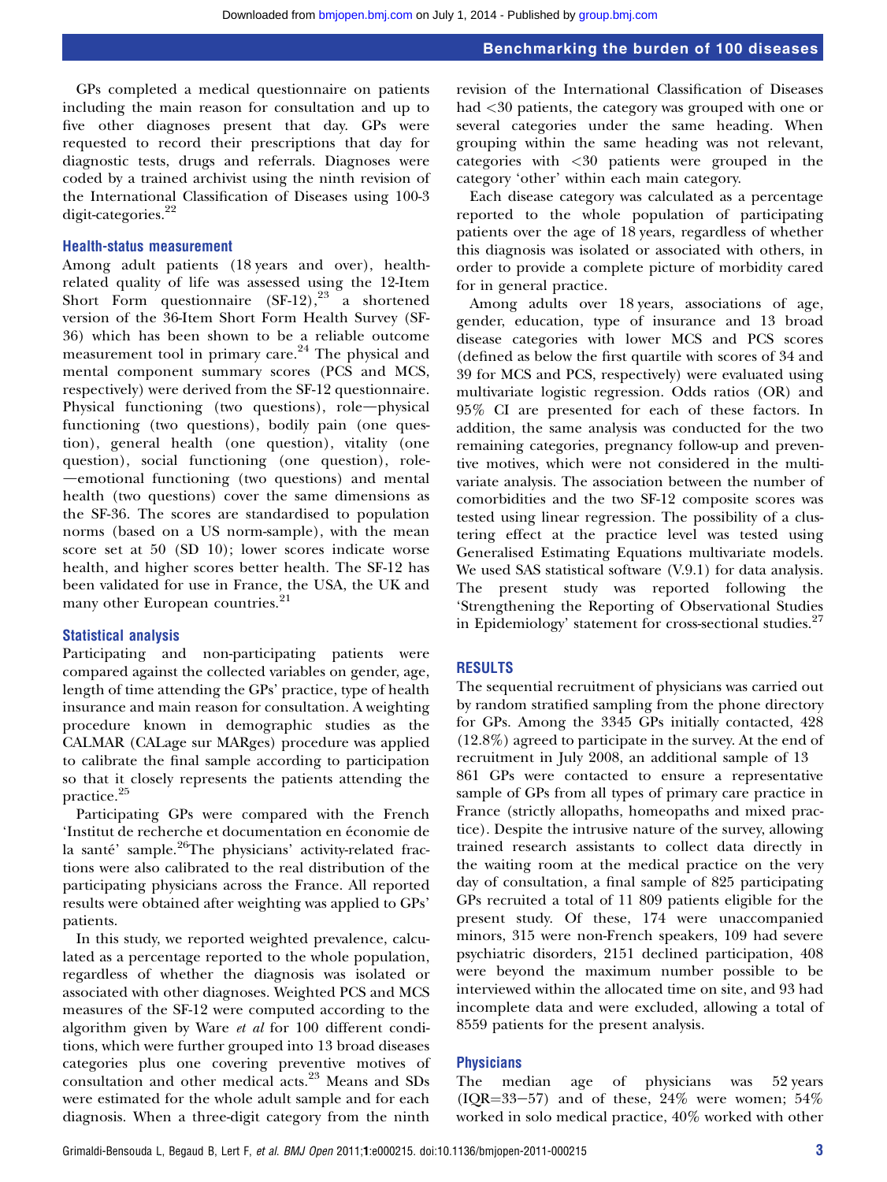GPs completed a medical questionnaire on patients including the main reason for consultation and up to five other diagnoses present that day. GPs were requested to record their prescriptions that day for diagnostic tests, drugs and referrals. Diagnoses were coded by a trained archivist using the ninth revision of the International Classification of Diseases using 100-3 digit-categories.<sup>22</sup>

#### Health-status measurement

Among adult patients (18 years and over), healthrelated quality of life was assessed using the 12-Item Short Form questionnaire  $(SF-12),^{23}$  a shortened version of the 36-Item Short Form Health Survey (SF-36) which has been shown to be a reliable outcome measurement tool in primary care. $24$  The physical and mental component summary scores (PCS and MCS, respectively) were derived from the SF-12 questionnaire. Physical functioning (two questions), role-physical functioning (two questions), bodily pain (one question), general health (one question), vitality (one question), social functioning (one question), role--emotional functioning (two questions) and mental health (two questions) cover the same dimensions as the SF-36. The scores are standardised to population norms (based on a US norm-sample), with the mean score set at 50 (SD 10); lower scores indicate worse health, and higher scores better health. The SF-12 has been validated for use in France, the USA, the UK and many other European countries.<sup>21</sup>

#### Statistical analysis

Participating and non-participating patients were compared against the collected variables on gender, age, length of time attending the GPs' practice, type of health insurance and main reason for consultation. A weighting procedure known in demographic studies as the CALMAR (CALage sur MARges) procedure was applied to calibrate the final sample according to participation so that it closely represents the patients attending the practice.<sup>25</sup>

Participating GPs were compared with the French 'Institut de recherche et documentation en économie de la santé' sample.<sup>26</sup>The physicians' activity-related fractions were also calibrated to the real distribution of the participating physicians across the France. All reported results were obtained after weighting was applied to GPs' patients.

In this study, we reported weighted prevalence, calculated as a percentage reported to the whole population, regardless of whether the diagnosis was isolated or associated with other diagnoses. Weighted PCS and MCS measures of the SF-12 were computed according to the algorithm given by Ware et al for 100 different conditions, which were further grouped into 13 broad diseases categories plus one covering preventive motives of consultation and other medical acts.<sup>23</sup> Means and SDs were estimated for the whole adult sample and for each diagnosis. When a three-digit category from the ninth

revision of the International Classification of Diseases had <30 patients, the category was grouped with one or several categories under the same heading. When grouping within the same heading was not relevant, categories with <30 patients were grouped in the category 'other' within each main category.

Each disease category was calculated as a percentage reported to the whole population of participating patients over the age of 18 years, regardless of whether this diagnosis was isolated or associated with others, in order to provide a complete picture of morbidity cared for in general practice.

Among adults over 18 years, associations of age, gender, education, type of insurance and 13 broad disease categories with lower MCS and PCS scores (defined as below the first quartile with scores of 34 and 39 for MCS and PCS, respectively) were evaluated using multivariate logistic regression. Odds ratios (OR) and 95% CI are presented for each of these factors. In addition, the same analysis was conducted for the two remaining categories, pregnancy follow-up and preventive motives, which were not considered in the multivariate analysis. The association between the number of comorbidities and the two SF-12 composite scores was tested using linear regression. The possibility of a clustering effect at the practice level was tested using Generalised Estimating Equations multivariate models. We used SAS statistical software (V.9.1) for data analysis. The present study was reported following the 'Strengthening the Reporting of Observational Studies in Epidemiology' statement for cross-sectional studies.<sup>27</sup>

#### RESULTS

The sequential recruitment of physicians was carried out by random stratified sampling from the phone directory for GPs. Among the 3345 GPs initially contacted, 428 (12.8%) agreed to participate in the survey. At the end of recruitment in July 2008, an additional sample of 13 861 GPs were contacted to ensure a representative sample of GPs from all types of primary care practice in France (strictly allopaths, homeopaths and mixed practice). Despite the intrusive nature of the survey, allowing trained research assistants to collect data directly in the waiting room at the medical practice on the very day of consultation, a final sample of 825 participating GPs recruited a total of 11 809 patients eligible for the present study. Of these, 174 were unaccompanied minors, 315 were non-French speakers, 109 had severe psychiatric disorders, 2151 declined participation, 408 were beyond the maximum number possible to be interviewed within the allocated time on site, and 93 had incomplete data and were excluded, allowing a total of 8559 patients for the present analysis.

### **Physicians**

The median age of physicians was 52 years  $(IQR=33-57)$  and of these, 24% were women; 54% worked in solo medical practice, 40% worked with other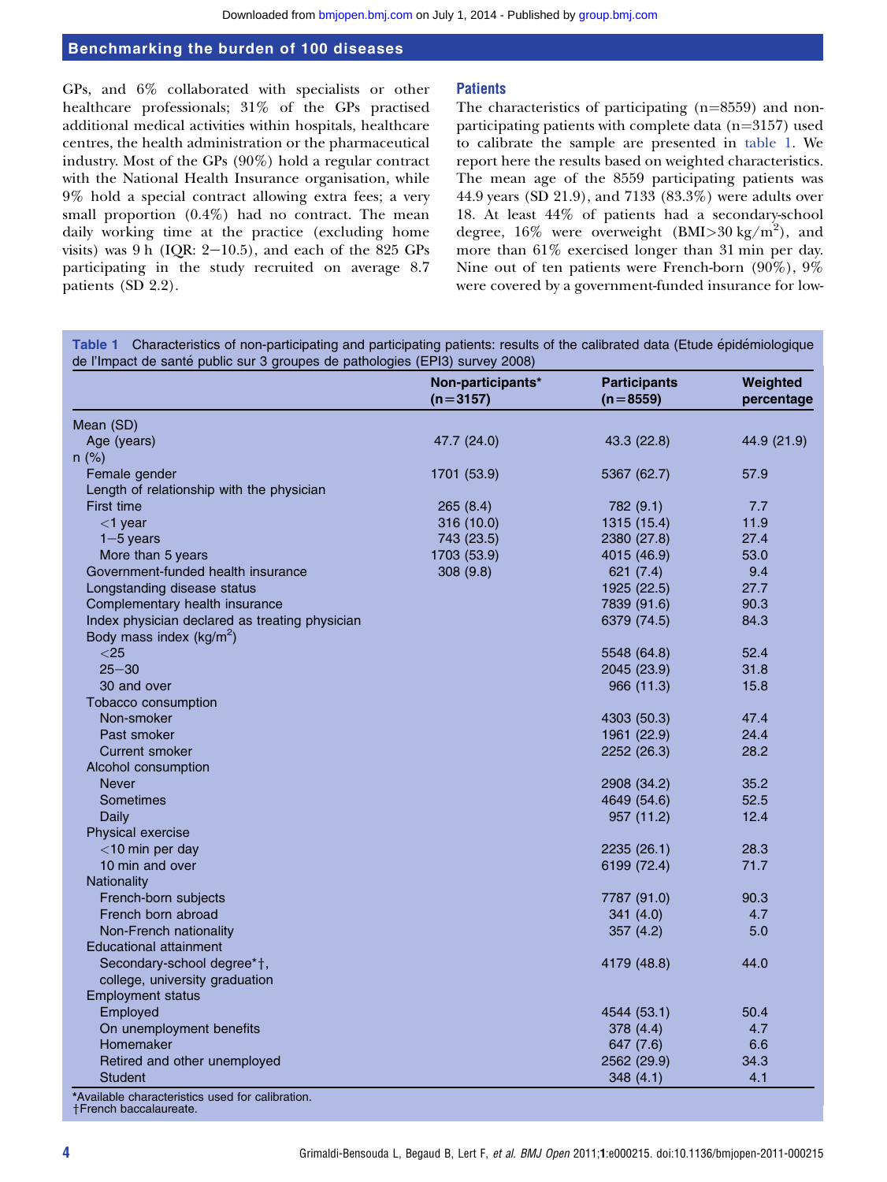GPs, and 6% collaborated with specialists or other healthcare professionals; 31% of the GPs practised additional medical activities within hospitals, healthcare centres, the health administration or the pharmaceutical industry. Most of the GPs (90%) hold a regular contract with the National Health Insurance organisation, while 9% hold a special contract allowing extra fees; a very small proportion  $(0.4\%)$  had no contract. The mean daily working time at the practice (excluding home visits) was  $9 h$  (IQR:  $2-10.5$ ), and each of the 825 GPs participating in the study recruited on average 8.7 patients (SD 2.2).

# **Patients**

The characteristics of participating  $(n=8559)$  and nonparticipating patients with complete data  $(n=3157)$  used to calibrate the sample are presented in table 1. We report here the results based on weighted characteristics. The mean age of the 8559 participating patients was 44.9 years (SD 21.9), and 7133 (83.3%) were adults over 18. At least 44% of patients had a secondary-school degree, 16% were overweight (BMI>30 kg/m<sup>2</sup>), and more than 61% exercised longer than 31 min per day. Nine out of ten patients were French-born (90%), 9% were covered by a government-funded insurance for low-

Table 1 Characteristics of non-participating and participating patients: results of the calibrated data (Etude épidémiologique de l'Impact de santé public sur 3 groupes de pathologies (EPI3) survey 2008)

|                                                  | Non-participants*<br>$(n=3157)$ | <b>Participants</b><br>$(n = 8559)$ | Weighted<br>percentage |
|--------------------------------------------------|---------------------------------|-------------------------------------|------------------------|
| Mean (SD)                                        |                                 |                                     |                        |
| Age (years)                                      | 47.7 (24.0)                     | 43.3 (22.8)                         | 44.9 (21.9)            |
| $n$ (%)                                          |                                 |                                     |                        |
| Female gender                                    | 1701 (53.9)                     | 5367 (62.7)                         | 57.9                   |
| Length of relationship with the physician        |                                 |                                     |                        |
| First time                                       | 265(8.4)                        | 782 (9.1)                           | 7.7                    |
| $<$ 1 year                                       | 316 (10.0)                      | 1315 (15.4)                         | 11.9                   |
| $1-5$ years                                      | 743 (23.5)                      | 2380 (27.8)                         | 27.4                   |
| More than 5 years                                | 1703 (53.9)                     | 4015 (46.9)                         | 53.0                   |
| Government-funded health insurance               | 308(9.8)                        | 621(7.4)                            | 9.4                    |
| Longstanding disease status                      |                                 | 1925 (22.5)                         | 27.7                   |
| Complementary health insurance                   |                                 | 7839 (91.6)                         | 90.3                   |
| Index physician declared as treating physician   |                                 | 6379 (74.5)                         | 84.3                   |
| Body mass index ( $kg/m^2$ )                     |                                 |                                     |                        |
| $<$ 25                                           |                                 | 5548 (64.8)                         | 52.4                   |
| $25 - 30$                                        |                                 | 2045 (23.9)                         | 31.8                   |
| 30 and over                                      |                                 | 966 (11.3)                          | 15.8                   |
| Tobacco consumption                              |                                 |                                     |                        |
| Non-smoker                                       |                                 | 4303 (50.3)                         | 47.4                   |
| Past smoker                                      |                                 | 1961 (22.9)                         | 24.4                   |
| <b>Current smoker</b>                            |                                 | 2252 (26.3)                         | 28.2                   |
| Alcohol consumption                              |                                 |                                     |                        |
| <b>Never</b>                                     |                                 | 2908 (34.2)                         | 35.2                   |
| Sometimes                                        |                                 | 4649 (54.6)                         | 52.5                   |
| Daily                                            |                                 | 957 (11.2)                          | 12.4                   |
| Physical exercise                                |                                 |                                     |                        |
| $<$ 10 min per day                               |                                 | 2235 (26.1)                         | 28.3                   |
| 10 min and over                                  |                                 | 6199 (72.4)                         | 71.7                   |
| Nationality                                      |                                 |                                     |                        |
| French-born subjects                             |                                 | 7787 (91.0)                         | 90.3                   |
| French born abroad                               |                                 | 341(4.0)                            | 4.7                    |
| Non-French nationality                           |                                 | 357(4.2)                            | 5.0                    |
| <b>Educational attainment</b>                    |                                 |                                     |                        |
| Secondary-school degree*†,                       |                                 | 4179 (48.8)                         | 44.0                   |
| college, university graduation                   |                                 |                                     |                        |
| <b>Employment status</b>                         |                                 |                                     |                        |
| Employed                                         |                                 | 4544 (53.1)                         | 50.4                   |
| On unemployment benefits                         |                                 | 378 (4.4)                           | 4.7                    |
| Homemaker                                        |                                 | 647 (7.6)                           | 6.6                    |
| Retired and other unemployed                     |                                 | 2562 (29.9)                         | 34.3                   |
| <b>Student</b>                                   |                                 | 348 (4.1)                           | 4.1                    |
| *Available characteristics used for calibration. |                                 |                                     |                        |

yFrench baccalaureate.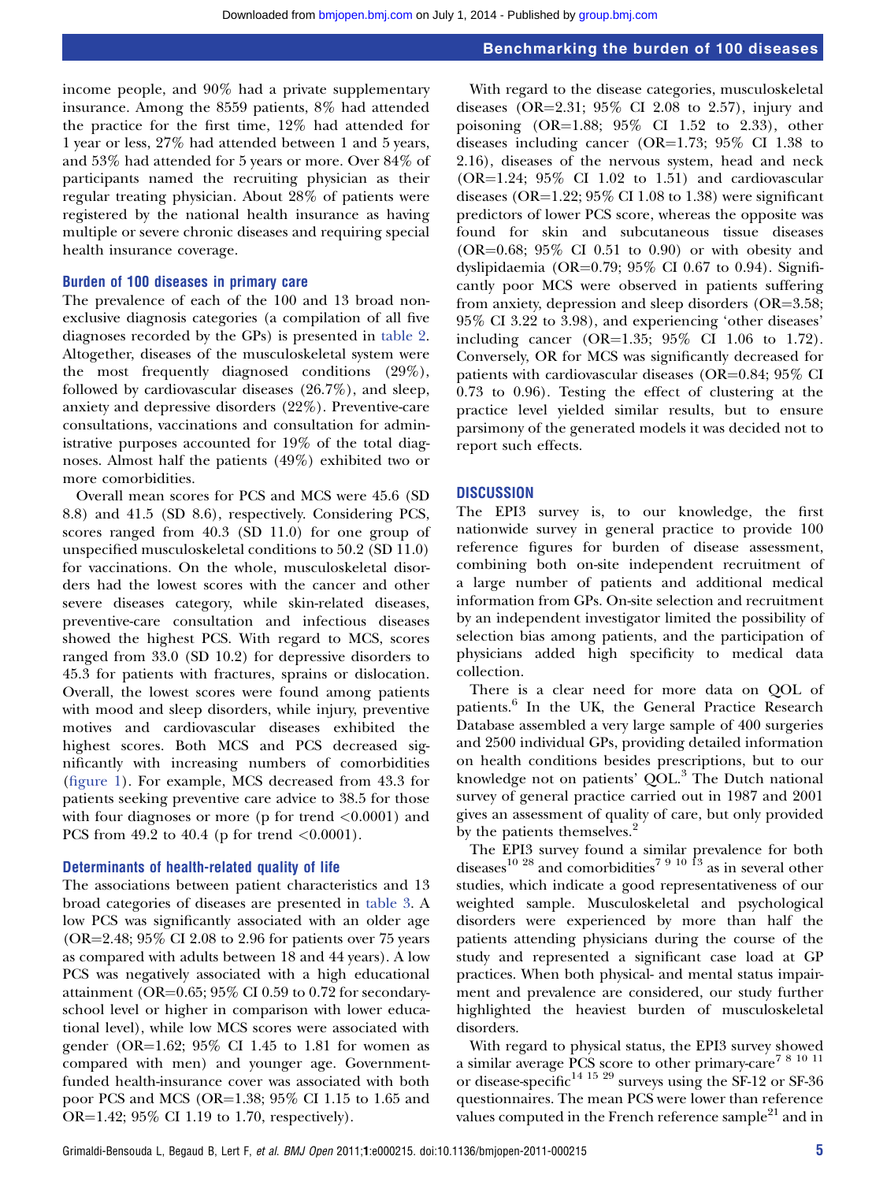income people, and 90% had a private supplementary insurance. Among the 8559 patients, 8% had attended the practice for the first time, 12% had attended for 1 year or less, 27% had attended between 1 and 5 years, and 53% had attended for 5 years or more. Over 84% of participants named the recruiting physician as their regular treating physician. About 28% of patients were registered by the national health insurance as having multiple or severe chronic diseases and requiring special health insurance coverage.

#### Burden of 100 diseases in primary care

The prevalence of each of the 100 and 13 broad nonexclusive diagnosis categories (a compilation of all five diagnoses recorded by the GPs) is presented in table 2. Altogether, diseases of the musculoskeletal system were the most frequently diagnosed conditions (29%), followed by cardiovascular diseases (26.7%), and sleep, anxiety and depressive disorders (22%). Preventive-care consultations, vaccinations and consultation for administrative purposes accounted for 19% of the total diagnoses. Almost half the patients (49%) exhibited two or more comorbidities.

Overall mean scores for PCS and MCS were 45.6 (SD 8.8) and 41.5 (SD 8.6), respectively. Considering PCS, scores ranged from 40.3 (SD 11.0) for one group of unspecified musculoskeletal conditions to 50.2 (SD 11.0) for vaccinations. On the whole, musculoskeletal disorders had the lowest scores with the cancer and other severe diseases category, while skin-related diseases, preventive-care consultation and infectious diseases showed the highest PCS. With regard to MCS, scores ranged from 33.0 (SD 10.2) for depressive disorders to 45.3 for patients with fractures, sprains or dislocation. Overall, the lowest scores were found among patients with mood and sleep disorders, while injury, preventive motives and cardiovascular diseases exhibited the highest scores. Both MCS and PCS decreased significantly with increasing numbers of comorbidities (figure 1). For example, MCS decreased from 43.3 for patients seeking preventive care advice to 38.5 for those with four diagnoses or more (p for trend  $<0.0001$ ) and PCS from 49.2 to 40.4 (p for trend  $\langle 0.0001 \rangle$ .

#### Determinants of health-related quality of life

The associations between patient characteristics and 13 broad categories of diseases are presented in table 3. A low PCS was significantly associated with an older age (OR=2.48; 95% CI 2.08 to 2.96 for patients over 75 years as compared with adults between 18 and 44 years). A low PCS was negatively associated with a high educational attainment (OR= $0.65$ ; 95% CI 0.59 to 0.72 for secondaryschool level or higher in comparison with lower educational level), while low MCS scores were associated with gender (OR=1.62;  $95\%$  CI 1.45 to 1.81 for women as compared with men) and younger age. Governmentfunded health-insurance cover was associated with both poor PCS and MCS (OR=1.38;  $95\%$  CI 1.15 to 1.65 and OR=1.42; 95% CI 1.19 to 1.70, respectively).

With regard to the disease categories, musculoskeletal diseases (OR=2.31;  $95\%$  CI 2.08 to 2.57), injury and poisoning  $(OR=1.88; 95\% \text{ CI } 1.52 \text{ to } 2.33)$ , other diseases including cancer (OR=1.73;  $95\%$  CI 1.38 to 2.16), diseases of the nervous system, head and neck  $(OR=1.24; 95\% \text{ CI } 1.02 \text{ to } 1.51)$  and cardiovascular diseases (OR= $1.22$ ; 95% CI 1.08 to 1.38) were significant predictors of lower PCS score, whereas the opposite was found for skin and subcutaneous tissue diseases (OR= $0.68$ ;  $95\%$  CI 0.51 to 0.90) or with obesity and dyslipidaemia (OR=0.79; 95% CI 0.67 to 0.94). Significantly poor MCS were observed in patients suffering from anxiety, depression and sleep disorders  $(OR = 3.58;$ 95% CI 3.22 to 3.98), and experiencing 'other diseases' including cancer (OR=1.35;  $95\%$  CI 1.06 to 1.72). Conversely, OR for MCS was significantly decreased for patients with cardiovascular diseases (OR= $0.84$ ;  $95\%$  CI 0.73 to 0.96). Testing the effect of clustering at the practice level yielded similar results, but to ensure parsimony of the generated models it was decided not to report such effects.

#### **DISCUSSION**

The EPI3 survey is, to our knowledge, the first nationwide survey in general practice to provide 100 reference figures for burden of disease assessment, combining both on-site independent recruitment of a large number of patients and additional medical information from GPs. On-site selection and recruitment by an independent investigator limited the possibility of selection bias among patients, and the participation of physicians added high specificity to medical data collection.

There is a clear need for more data on QOL of patients.<sup>6</sup> In the UK, the General Practice Research Database assembled a very large sample of 400 surgeries and 2500 individual GPs, providing detailed information on health conditions besides prescriptions, but to our knowledge not on patients'  $QOL<sup>3</sup>$ . The Dutch national survey of general practice carried out in 1987 and 2001 gives an assessment of quality of care, but only provided by the patients themselves.<sup>2</sup>

The EPI3 survey found a similar prevalence for both diseases<sup>10 28</sup> and comorbidities<sup>7 9 10 13</sup> as in several other studies, which indicate a good representativeness of our weighted sample. Musculoskeletal and psychological disorders were experienced by more than half the patients attending physicians during the course of the study and represented a significant case load at GP practices. When both physical- and mental status impairment and prevalence are considered, our study further highlighted the heaviest burden of musculoskeletal disorders.

With regard to physical status, the EPI3 survey showed a similar average PCS score to other primary-care7 8 10 11 or disease-specific<sup>14 15 29</sup> surveys using the SF-12 or SF-36 questionnaires. The mean PCS were lower than reference values computed in the French reference sample $^{21}$  and in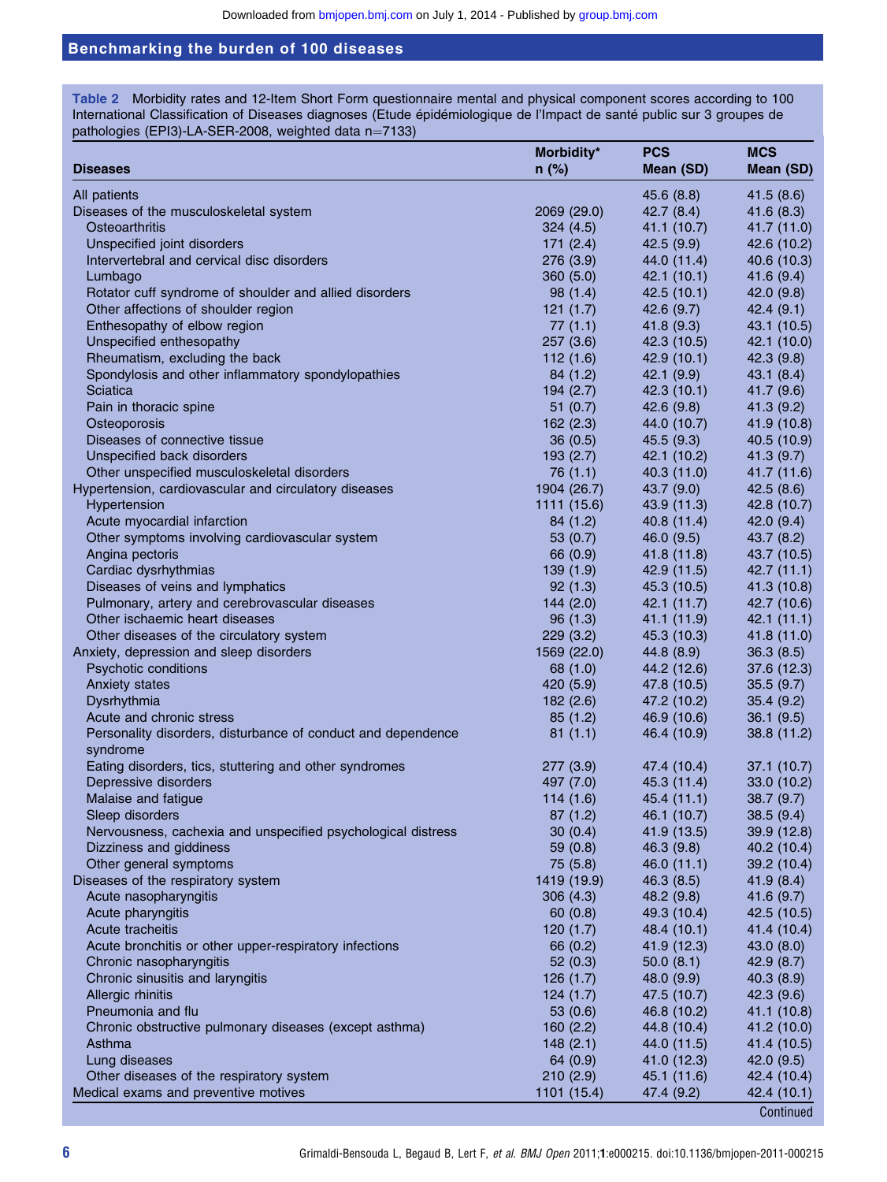Table 2 Morbidity rates and 12-Item Short Form questionnaire mental and physical component scores according to 100 International Classification of Diseases diagnoses (Etude épidémiologique de l'Impact de santé public sur 3 groupes de pathologies (EPI3)-LA-SER-2008, weighted data n=7133)

|                                                              | Morbidity*          | <b>PCS</b>                 | <b>MCS</b>              |
|--------------------------------------------------------------|---------------------|----------------------------|-------------------------|
| <b>Diseases</b>                                              | $n$ (%)             | Mean (SD)                  | Mean (SD)               |
| All patients                                                 |                     | 45.6 (8.8)                 | 41.5(8.6)               |
| Diseases of the musculoskeletal system                       | 2069 (29.0)         | 42.7 $(8.4)$               | 41.6(8.3)               |
| Osteoarthritis                                               | 324 (4.5)           | 41.1 (10.7)                | 41.7 (11.0)             |
| Unspecified joint disorders                                  | 171(2.4)            | 42.5(9.9)                  | 42.6 (10.2)             |
| Intervertebral and cervical disc disorders                   | 276 (3.9)           | 44.0 (11.4)                | 40.6 (10.3)             |
| Lumbago                                                      | 360(5.0)            | 42.1(10.1)                 | 41.6(9.4)               |
| Rotator cuff syndrome of shoulder and allied disorders       | 98(1.4)             | 42.5(10.1)                 | 42.0(9.8)               |
| Other affections of shoulder region                          | 121(1.7)            | 42.6(9.7)                  | 42.4(9.1)               |
| Enthesopathy of elbow region                                 | 77 (1.1)            | 41.8(9.3)                  | 43.1 (10.5)             |
| Unspecified enthesopathy                                     | 257(3.6)            | 42.3 (10.5)                | 42.1 (10.0)             |
| Rheumatism, excluding the back                               | 112(1.6)            | 42.9(10.1)                 | 42.3(9.8)               |
| Spondylosis and other inflammatory spondylopathies           | 84(1.2)             | 42.1 (9.9)                 | 43.1(8.4)               |
| Sciatica                                                     | 194(2.7)            | 42.3(10.1)                 | 41.7 $(9.6)$            |
| Pain in thoracic spine                                       | 51(0.7)             | 42.6(9.8)                  | 41.3(9.2)               |
| Osteoporosis                                                 | 162(2.3)            | 44.0 (10.7)                | 41.9 (10.8)             |
| Diseases of connective tissue                                | 36(0.5)             | 45.5(9.3)                  | 40.5 (10.9)             |
| Unspecified back disorders                                   | 193(2.7)            | 42.1 (10.2)                | 41.3(9.7)               |
| Other unspecified musculoskeletal disorders                  | 76 (1.1)            | 40.3(11.0)                 | 41.7 (11.6)             |
| Hypertension, cardiovascular and circulatory diseases        | 1904 (26.7)         | 43.7 (9.0)                 | 42.5(8.6)               |
| Hypertension                                                 | 1111(15.6)          | 43.9 (11.3)                | 42.8 (10.7)             |
| Acute myocardial infarction                                  | 84 (1.2)            | 40.8(11.4)                 | 42.0 $(9.4)$            |
| Other symptoms involving cardiovascular system               | 53(0.7)             | 46.0 (9.5)                 | 43.7 (8.2)              |
| Angina pectoris                                              | 66 (0.9)            | 41.8(11.8)                 | 43.7 (10.5)             |
| Cardiac dysrhythmias                                         | 139(1.9)            | 42.9 (11.5)                | 42.7(11.1)              |
| Diseases of veins and lymphatics                             | 92(1.3)             | 45.3 (10.5)                | 41.3 (10.8)             |
| Pulmonary, artery and cerebrovascular diseases               | 144(2.0)            | 42.1 (11.7)                | 42.7 (10.6)             |
| Other ischaemic heart diseases                               | 96(1.3)             | 41.1 (11.9)                | 42.1(11.1)              |
| Other diseases of the circulatory system                     | 229(3.2)            | 45.3 (10.3)                | 41.8 (11.0)             |
| Anxiety, depression and sleep disorders                      | 1569 (22.0)         | 44.8(8.9)                  | 36.3(8.5)               |
| Psychotic conditions                                         | 68 (1.0)            | 44.2 (12.6)                | 37.6 (12.3)             |
| <b>Anxiety states</b>                                        | 420 (5.9)           | 47.8 (10.5)                | 35.5(9.7)               |
| Dysrhythmia                                                  | 182(2.6)            | 47.2 (10.2)                | 35.4(9.2)               |
| Acute and chronic stress                                     | 85(1.2)             | 46.9 (10.6)                | 36.1(9.5)               |
| Personality disorders, disturbance of conduct and dependence | 81(1.1)             | 46.4 (10.9)                | 38.8(11.2)              |
| syndrome                                                     |                     |                            |                         |
| Eating disorders, tics, stuttering and other syndromes       | 277(3.9)            | 47.4 (10.4)                | 37.1(10.7)              |
| Depressive disorders<br>Malaise and fatigue                  | 497 (7.0)           | 45.3 (11.4)<br>45.4 (11.1) | 33.0(10.2)<br>38.7(9.7) |
| Sleep disorders                                              | 114(1.6)<br>87(1.2) | 46.1 (10.7)                | 38.5(9.4)               |
| Nervousness, cachexia and unspecified psychological distress | 30(0.4)             | 41.9 (13.5)                | 39.9 (12.8)             |
| Dizziness and giddiness                                      | 59(0.8)             | 46.3(9.8)                  | 40.2 (10.4)             |
| Other general symptoms                                       | 75 (5.8)            | 46.0(11.1)                 | 39.2(10.4)              |
| Diseases of the respiratory system                           | 1419 (19.9)         | 46.3(8.5)                  | 41.9(8.4)               |
| Acute nasopharyngitis                                        | 306(4.3)            | 48.2 (9.8)                 | 41.6(9.7)               |
| Acute pharyngitis                                            | 60(0.8)             | 49.3 (10.4)                | 42.5 (10.5)             |
| Acute tracheitis                                             | 120(1.7)            | 48.4 (10.1)                | 41.4 (10.4)             |
| Acute bronchitis or other upper-respiratory infections       | 66 (0.2)            | 41.9 (12.3)                | 43.0(8.0)               |
| Chronic nasopharyngitis                                      | 52(0.3)             | 50.0(8.1)                  | 42.9(8.7)               |
| Chronic sinusitis and laryngitis                             | 126(1.7)            | 48.0 (9.9)                 | 40.3(8.9)               |
| Allergic rhinitis                                            | 124(1.7)            | 47.5 (10.7)                | 42.3(9.6)               |
| Pneumonia and flu                                            | 53(0.6)             | 46.8 (10.2)                | 41.1 (10.8)             |
| Chronic obstructive pulmonary diseases (except asthma)       | 160(2.2)            | 44.8 (10.4)                | 41.2 (10.0)             |
| Asthma                                                       | 148(2.1)            | 44.0 (11.5)                | 41.4 (10.5)             |
| Lung diseases                                                | 64 (0.9)            | 41.0 (12.3)                | 42.0 $(9.5)$            |
| Other diseases of the respiratory system                     | 210(2.9)            | 45.1 (11.6)                | 42.4 (10.4)             |
| Medical exams and preventive motives                         | 1101 (15.4)         | 47.4 (9.2)                 | 42.4 (10.1)             |
|                                                              |                     |                            | Continued               |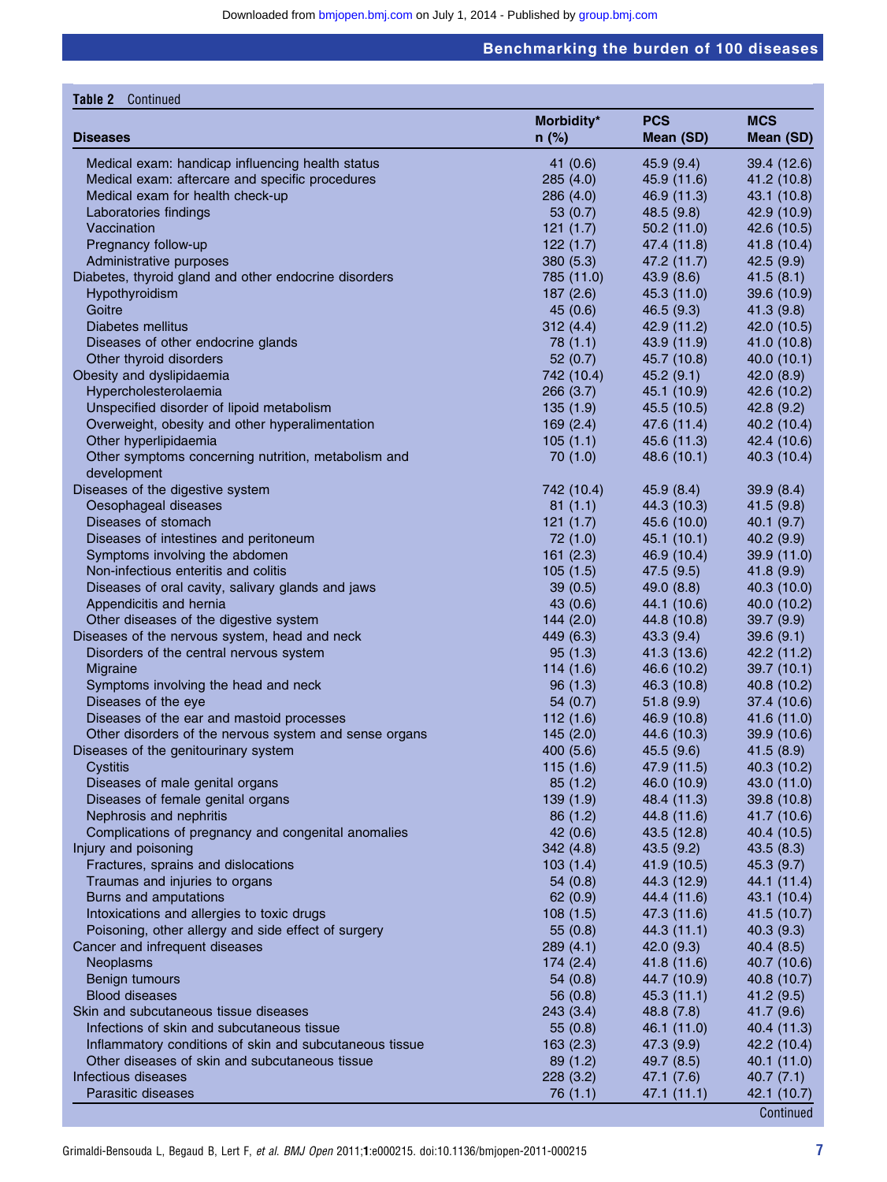| Table 2 | Continued |
|---------|-----------|
|         |           |

| $n$ (%)<br>Mean (SD)<br><b>Diseases</b><br>Mean (SD)<br>Medical exam: handicap influencing health status<br>41 (0.6)<br>45.9(9.4)<br>39.4 (12.6)<br>Medical exam: aftercare and specific procedures<br>285 (4.0)<br>45.9 (11.6)<br>41.2 (10.8)<br>Medical exam for health check-up<br>286(4.0)<br>46.9 (11.3)<br>43.1 (10.8)<br>Laboratories findings<br>53(0.7)<br>42.9 (10.9)<br>48.5(9.8)<br>Vaccination<br>121(1.7)<br>50.2(11.0)<br>42.6 (10.5)<br>Pregnancy follow-up<br>122(1.7)<br>41.8 (10.4)<br>47.4 (11.8)<br>Administrative purposes<br>380(5.3)<br>47.2 (11.7)<br>42.5(9.9)<br>Diabetes, thyroid gland and other endocrine disorders<br>785 (11.0)<br>43.9(8.6)<br>41.5(8.1)<br>Hypothyroidism<br>187(2.6)<br>45.3 (11.0)<br>39.6(10.9)<br>Goitre<br>45(0.6)<br>46.5(9.3)<br>41.3 (9.8)<br>Diabetes mellitus<br>312(4.4)<br>42.9 (11.2)<br>42.0 (10.5)<br>Diseases of other endocrine glands<br>78 (1.1)<br>43.9 (11.9)<br>41.0 (10.8)<br>Other thyroid disorders<br>52(0.7)<br>45.7 (10.8)<br>40.0(10.1)<br>Obesity and dyslipidaemia<br>742 (10.4)<br>42.0(8.9)<br>45.2(9.1)<br>Hypercholesterolaemia<br>266 (3.7)<br>45.1 (10.9)<br>42.6 (10.2)<br>Unspecified disorder of lipoid metabolism<br>135(1.9)<br>42.8(9.2)<br>45.5 (10.5)<br>Overweight, obesity and other hyperalimentation<br>169(2.4)<br>47.6 (11.4)<br>40.2 (10.4)<br>Other hyperlipidaemia<br>105(1.1)<br>42.4 (10.6)<br>45.6 (11.3)<br>Other symptoms concerning nutrition, metabolism and<br>70(1.0)<br>40.3 (10.4)<br>48.6 (10.1)<br>development<br>Diseases of the digestive system<br>742 (10.4)<br>45.9(8.4)<br>39.9(8.4)<br>Oesophageal diseases<br>81(1.1)<br>41.5 (9.8)<br>44.3 (10.3)<br>Diseases of stomach<br>121(1.7)<br>40.1(9.7)<br>45.6 (10.0)<br>Diseases of intestines and peritoneum<br>72 (1.0)<br>45.1 (10.1)<br>40.2(9.9)<br>Symptoms involving the abdomen<br>161(2.3)<br>46.9 (10.4)<br>39.9 (11.0)<br>Non-infectious enteritis and colitis<br>105(1.5)<br>41.8 (9.9)<br>47.5 (9.5)<br>Diseases of oral cavity, salivary glands and jaws<br>39(0.5)<br>49.0(8.8)<br>40.3 (10.0)<br>Appendicitis and hernia<br>43 (0.6)<br>44.1 (10.6)<br>40.0 (10.2)<br>Other diseases of the digestive system<br>144(2.0)<br>39.7 (9.9)<br>44.8 (10.8)<br>Diseases of the nervous system, head and neck<br>449 (6.3)<br>43.3(9.4)<br>39.6(9.1)<br>Disorders of the central nervous system<br>95(1.3)<br>41.3 (13.6)<br>42.2 (11.2)<br>Migraine<br>114(1.6)<br>46.6 (10.2)<br>39.7(10.1)<br>Symptoms involving the head and neck<br>96(1.3)<br>40.8 (10.2)<br>46.3 (10.8)<br>Diseases of the eye<br>37.4 (10.6)<br>54 (0.7)<br>51.8(9.9)<br>Diseases of the ear and mastoid processes<br>112(1.6)<br>41.6 (11.0)<br>46.9 (10.8)<br>Other disorders of the nervous system and sense organs<br>145(2.0)<br>44.6 (10.3)<br>39.9 (10.6)<br>Diseases of the genitourinary system<br>400(5.6)<br>45.5(9.6)<br>41.5(8.9)<br>Cystitis<br>115(1.6)<br>47.9 (11.5)<br>40.3 (10.2)<br>Diseases of male genital organs<br>85(1.2)<br>46.0 (10.9)<br>43.0 (11.0)<br>Diseases of female genital organs<br>139(1.9)<br>48.4 (11.3)<br>39.8 (10.8)<br>Nephrosis and nephritis<br>86 (1.2)<br>44.8 (11.6)<br>41.7 (10.6)<br>Complications of pregnancy and congenital anomalies<br>42(0.6)<br>43.5 (12.8)<br>40.4 (10.5)<br>Injury and poisoning<br>342 (4.8)<br>43.5(8.3)<br>43.5(9.2)<br>Fractures, sprains and dislocations<br>103(1.4)<br>41.9 (10.5)<br>45.3 (9.7)<br>Traumas and injuries to organs<br>54(0.8)<br>44.3 (12.9)<br>44.1 (11.4)<br>Burns and amputations<br>62(0.9)<br>44.4 (11.6)<br>43.1 (10.4)<br>Intoxications and allergies to toxic drugs<br>108(1.5)<br>47.3 (11.6)<br>41.5 (10.7)<br>Poisoning, other allergy and side effect of surgery<br>55(0.8)<br>44.3 (11.1)<br>40.3(9.3)<br>Cancer and infrequent diseases<br>289(4.1)<br>42.0(9.3)<br>40.4 (8.5)<br>Neoplasms<br>174(2.4)<br>41.8 (11.6)<br>40.7 (10.6)<br>Benign tumours<br>54(0.8)<br>44.7 (10.9)<br>40.8 (10.7)<br><b>Blood diseases</b><br>56(0.8)<br>41.2 (9.5)<br>45.3 (11.1)<br>Skin and subcutaneous tissue diseases<br>243(3.4)<br>41.7 (9.6)<br>48.8 (7.8)<br>Infections of skin and subcutaneous tissue<br>55(0.8)<br>46.1 (11.0)<br>40.4 (11.3)<br>Inflammatory conditions of skin and subcutaneous tissue<br>42.2 (10.4)<br>163(2.3)<br>47.3 (9.9)<br>Other diseases of skin and subcutaneous tissue<br>89(1.2)<br>49.7 (8.5)<br>40.1 (11.0)<br>Infectious diseases<br>228 (3.2)<br>47.1 (7.6)<br>40.7 $(7.1)$<br><b>Parasitic diseases</b><br>76(1.1)<br>47.1 (11.1)<br>42.1 (10.7) | Morbidity* | <b>PCS</b> | <b>MCS</b> |
|-------------------------------------------------------------------------------------------------------------------------------------------------------------------------------------------------------------------------------------------------------------------------------------------------------------------------------------------------------------------------------------------------------------------------------------------------------------------------------------------------------------------------------------------------------------------------------------------------------------------------------------------------------------------------------------------------------------------------------------------------------------------------------------------------------------------------------------------------------------------------------------------------------------------------------------------------------------------------------------------------------------------------------------------------------------------------------------------------------------------------------------------------------------------------------------------------------------------------------------------------------------------------------------------------------------------------------------------------------------------------------------------------------------------------------------------------------------------------------------------------------------------------------------------------------------------------------------------------------------------------------------------------------------------------------------------------------------------------------------------------------------------------------------------------------------------------------------------------------------------------------------------------------------------------------------------------------------------------------------------------------------------------------------------------------------------------------------------------------------------------------------------------------------------------------------------------------------------------------------------------------------------------------------------------------------------------------------------------------------------------------------------------------------------------------------------------------------------------------------------------------------------------------------------------------------------------------------------------------------------------------------------------------------------------------------------------------------------------------------------------------------------------------------------------------------------------------------------------------------------------------------------------------------------------------------------------------------------------------------------------------------------------------------------------------------------------------------------------------------------------------------------------------------------------------------------------------------------------------------------------------------------------------------------------------------------------------------------------------------------------------------------------------------------------------------------------------------------------------------------------------------------------------------------------------------------------------------------------------------------------------------------------------------------------------------------------------------------------------------------------------------------------------------------------------------------------------------------------------------------------------------------------------------------------------------------------------------------------------------------------------------------------------------------------------------------------------------------------------------------------------------------------------------------------------------------------------------------------------------------------------------------------------------------------------------------------------------------------------------------------------------------------------------------------------------------------------------------------------------------------------------------------------------------------------------|------------|------------|------------|
|                                                                                                                                                                                                                                                                                                                                                                                                                                                                                                                                                                                                                                                                                                                                                                                                                                                                                                                                                                                                                                                                                                                                                                                                                                                                                                                                                                                                                                                                                                                                                                                                                                                                                                                                                                                                                                                                                                                                                                                                                                                                                                                                                                                                                                                                                                                                                                                                                                                                                                                                                                                                                                                                                                                                                                                                                                                                                                                                                                                                                                                                                                                                                                                                                                                                                                                                                                                                                                                                                                                                                                                                                                                                                                                                                                                                                                                                                                                                                                                                                                                                                                                                                                                                                                                                                                                                                                                                                                                                                                                                                             |            |            |            |
|                                                                                                                                                                                                                                                                                                                                                                                                                                                                                                                                                                                                                                                                                                                                                                                                                                                                                                                                                                                                                                                                                                                                                                                                                                                                                                                                                                                                                                                                                                                                                                                                                                                                                                                                                                                                                                                                                                                                                                                                                                                                                                                                                                                                                                                                                                                                                                                                                                                                                                                                                                                                                                                                                                                                                                                                                                                                                                                                                                                                                                                                                                                                                                                                                                                                                                                                                                                                                                                                                                                                                                                                                                                                                                                                                                                                                                                                                                                                                                                                                                                                                                                                                                                                                                                                                                                                                                                                                                                                                                                                                             |            |            |            |
|                                                                                                                                                                                                                                                                                                                                                                                                                                                                                                                                                                                                                                                                                                                                                                                                                                                                                                                                                                                                                                                                                                                                                                                                                                                                                                                                                                                                                                                                                                                                                                                                                                                                                                                                                                                                                                                                                                                                                                                                                                                                                                                                                                                                                                                                                                                                                                                                                                                                                                                                                                                                                                                                                                                                                                                                                                                                                                                                                                                                                                                                                                                                                                                                                                                                                                                                                                                                                                                                                                                                                                                                                                                                                                                                                                                                                                                                                                                                                                                                                                                                                                                                                                                                                                                                                                                                                                                                                                                                                                                                                             |            |            |            |
|                                                                                                                                                                                                                                                                                                                                                                                                                                                                                                                                                                                                                                                                                                                                                                                                                                                                                                                                                                                                                                                                                                                                                                                                                                                                                                                                                                                                                                                                                                                                                                                                                                                                                                                                                                                                                                                                                                                                                                                                                                                                                                                                                                                                                                                                                                                                                                                                                                                                                                                                                                                                                                                                                                                                                                                                                                                                                                                                                                                                                                                                                                                                                                                                                                                                                                                                                                                                                                                                                                                                                                                                                                                                                                                                                                                                                                                                                                                                                                                                                                                                                                                                                                                                                                                                                                                                                                                                                                                                                                                                                             |            |            |            |
|                                                                                                                                                                                                                                                                                                                                                                                                                                                                                                                                                                                                                                                                                                                                                                                                                                                                                                                                                                                                                                                                                                                                                                                                                                                                                                                                                                                                                                                                                                                                                                                                                                                                                                                                                                                                                                                                                                                                                                                                                                                                                                                                                                                                                                                                                                                                                                                                                                                                                                                                                                                                                                                                                                                                                                                                                                                                                                                                                                                                                                                                                                                                                                                                                                                                                                                                                                                                                                                                                                                                                                                                                                                                                                                                                                                                                                                                                                                                                                                                                                                                                                                                                                                                                                                                                                                                                                                                                                                                                                                                                             |            |            |            |
|                                                                                                                                                                                                                                                                                                                                                                                                                                                                                                                                                                                                                                                                                                                                                                                                                                                                                                                                                                                                                                                                                                                                                                                                                                                                                                                                                                                                                                                                                                                                                                                                                                                                                                                                                                                                                                                                                                                                                                                                                                                                                                                                                                                                                                                                                                                                                                                                                                                                                                                                                                                                                                                                                                                                                                                                                                                                                                                                                                                                                                                                                                                                                                                                                                                                                                                                                                                                                                                                                                                                                                                                                                                                                                                                                                                                                                                                                                                                                                                                                                                                                                                                                                                                                                                                                                                                                                                                                                                                                                                                                             |            |            |            |
|                                                                                                                                                                                                                                                                                                                                                                                                                                                                                                                                                                                                                                                                                                                                                                                                                                                                                                                                                                                                                                                                                                                                                                                                                                                                                                                                                                                                                                                                                                                                                                                                                                                                                                                                                                                                                                                                                                                                                                                                                                                                                                                                                                                                                                                                                                                                                                                                                                                                                                                                                                                                                                                                                                                                                                                                                                                                                                                                                                                                                                                                                                                                                                                                                                                                                                                                                                                                                                                                                                                                                                                                                                                                                                                                                                                                                                                                                                                                                                                                                                                                                                                                                                                                                                                                                                                                                                                                                                                                                                                                                             |            |            |            |
|                                                                                                                                                                                                                                                                                                                                                                                                                                                                                                                                                                                                                                                                                                                                                                                                                                                                                                                                                                                                                                                                                                                                                                                                                                                                                                                                                                                                                                                                                                                                                                                                                                                                                                                                                                                                                                                                                                                                                                                                                                                                                                                                                                                                                                                                                                                                                                                                                                                                                                                                                                                                                                                                                                                                                                                                                                                                                                                                                                                                                                                                                                                                                                                                                                                                                                                                                                                                                                                                                                                                                                                                                                                                                                                                                                                                                                                                                                                                                                                                                                                                                                                                                                                                                                                                                                                                                                                                                                                                                                                                                             |            |            |            |
|                                                                                                                                                                                                                                                                                                                                                                                                                                                                                                                                                                                                                                                                                                                                                                                                                                                                                                                                                                                                                                                                                                                                                                                                                                                                                                                                                                                                                                                                                                                                                                                                                                                                                                                                                                                                                                                                                                                                                                                                                                                                                                                                                                                                                                                                                                                                                                                                                                                                                                                                                                                                                                                                                                                                                                                                                                                                                                                                                                                                                                                                                                                                                                                                                                                                                                                                                                                                                                                                                                                                                                                                                                                                                                                                                                                                                                                                                                                                                                                                                                                                                                                                                                                                                                                                                                                                                                                                                                                                                                                                                             |            |            |            |
|                                                                                                                                                                                                                                                                                                                                                                                                                                                                                                                                                                                                                                                                                                                                                                                                                                                                                                                                                                                                                                                                                                                                                                                                                                                                                                                                                                                                                                                                                                                                                                                                                                                                                                                                                                                                                                                                                                                                                                                                                                                                                                                                                                                                                                                                                                                                                                                                                                                                                                                                                                                                                                                                                                                                                                                                                                                                                                                                                                                                                                                                                                                                                                                                                                                                                                                                                                                                                                                                                                                                                                                                                                                                                                                                                                                                                                                                                                                                                                                                                                                                                                                                                                                                                                                                                                                                                                                                                                                                                                                                                             |            |            |            |
|                                                                                                                                                                                                                                                                                                                                                                                                                                                                                                                                                                                                                                                                                                                                                                                                                                                                                                                                                                                                                                                                                                                                                                                                                                                                                                                                                                                                                                                                                                                                                                                                                                                                                                                                                                                                                                                                                                                                                                                                                                                                                                                                                                                                                                                                                                                                                                                                                                                                                                                                                                                                                                                                                                                                                                                                                                                                                                                                                                                                                                                                                                                                                                                                                                                                                                                                                                                                                                                                                                                                                                                                                                                                                                                                                                                                                                                                                                                                                                                                                                                                                                                                                                                                                                                                                                                                                                                                                                                                                                                                                             |            |            |            |
|                                                                                                                                                                                                                                                                                                                                                                                                                                                                                                                                                                                                                                                                                                                                                                                                                                                                                                                                                                                                                                                                                                                                                                                                                                                                                                                                                                                                                                                                                                                                                                                                                                                                                                                                                                                                                                                                                                                                                                                                                                                                                                                                                                                                                                                                                                                                                                                                                                                                                                                                                                                                                                                                                                                                                                                                                                                                                                                                                                                                                                                                                                                                                                                                                                                                                                                                                                                                                                                                                                                                                                                                                                                                                                                                                                                                                                                                                                                                                                                                                                                                                                                                                                                                                                                                                                                                                                                                                                                                                                                                                             |            |            |            |
|                                                                                                                                                                                                                                                                                                                                                                                                                                                                                                                                                                                                                                                                                                                                                                                                                                                                                                                                                                                                                                                                                                                                                                                                                                                                                                                                                                                                                                                                                                                                                                                                                                                                                                                                                                                                                                                                                                                                                                                                                                                                                                                                                                                                                                                                                                                                                                                                                                                                                                                                                                                                                                                                                                                                                                                                                                                                                                                                                                                                                                                                                                                                                                                                                                                                                                                                                                                                                                                                                                                                                                                                                                                                                                                                                                                                                                                                                                                                                                                                                                                                                                                                                                                                                                                                                                                                                                                                                                                                                                                                                             |            |            |            |
|                                                                                                                                                                                                                                                                                                                                                                                                                                                                                                                                                                                                                                                                                                                                                                                                                                                                                                                                                                                                                                                                                                                                                                                                                                                                                                                                                                                                                                                                                                                                                                                                                                                                                                                                                                                                                                                                                                                                                                                                                                                                                                                                                                                                                                                                                                                                                                                                                                                                                                                                                                                                                                                                                                                                                                                                                                                                                                                                                                                                                                                                                                                                                                                                                                                                                                                                                                                                                                                                                                                                                                                                                                                                                                                                                                                                                                                                                                                                                                                                                                                                                                                                                                                                                                                                                                                                                                                                                                                                                                                                                             |            |            |            |
|                                                                                                                                                                                                                                                                                                                                                                                                                                                                                                                                                                                                                                                                                                                                                                                                                                                                                                                                                                                                                                                                                                                                                                                                                                                                                                                                                                                                                                                                                                                                                                                                                                                                                                                                                                                                                                                                                                                                                                                                                                                                                                                                                                                                                                                                                                                                                                                                                                                                                                                                                                                                                                                                                                                                                                                                                                                                                                                                                                                                                                                                                                                                                                                                                                                                                                                                                                                                                                                                                                                                                                                                                                                                                                                                                                                                                                                                                                                                                                                                                                                                                                                                                                                                                                                                                                                                                                                                                                                                                                                                                             |            |            |            |
|                                                                                                                                                                                                                                                                                                                                                                                                                                                                                                                                                                                                                                                                                                                                                                                                                                                                                                                                                                                                                                                                                                                                                                                                                                                                                                                                                                                                                                                                                                                                                                                                                                                                                                                                                                                                                                                                                                                                                                                                                                                                                                                                                                                                                                                                                                                                                                                                                                                                                                                                                                                                                                                                                                                                                                                                                                                                                                                                                                                                                                                                                                                                                                                                                                                                                                                                                                                                                                                                                                                                                                                                                                                                                                                                                                                                                                                                                                                                                                                                                                                                                                                                                                                                                                                                                                                                                                                                                                                                                                                                                             |            |            |            |
|                                                                                                                                                                                                                                                                                                                                                                                                                                                                                                                                                                                                                                                                                                                                                                                                                                                                                                                                                                                                                                                                                                                                                                                                                                                                                                                                                                                                                                                                                                                                                                                                                                                                                                                                                                                                                                                                                                                                                                                                                                                                                                                                                                                                                                                                                                                                                                                                                                                                                                                                                                                                                                                                                                                                                                                                                                                                                                                                                                                                                                                                                                                                                                                                                                                                                                                                                                                                                                                                                                                                                                                                                                                                                                                                                                                                                                                                                                                                                                                                                                                                                                                                                                                                                                                                                                                                                                                                                                                                                                                                                             |            |            |            |
|                                                                                                                                                                                                                                                                                                                                                                                                                                                                                                                                                                                                                                                                                                                                                                                                                                                                                                                                                                                                                                                                                                                                                                                                                                                                                                                                                                                                                                                                                                                                                                                                                                                                                                                                                                                                                                                                                                                                                                                                                                                                                                                                                                                                                                                                                                                                                                                                                                                                                                                                                                                                                                                                                                                                                                                                                                                                                                                                                                                                                                                                                                                                                                                                                                                                                                                                                                                                                                                                                                                                                                                                                                                                                                                                                                                                                                                                                                                                                                                                                                                                                                                                                                                                                                                                                                                                                                                                                                                                                                                                                             |            |            |            |
|                                                                                                                                                                                                                                                                                                                                                                                                                                                                                                                                                                                                                                                                                                                                                                                                                                                                                                                                                                                                                                                                                                                                                                                                                                                                                                                                                                                                                                                                                                                                                                                                                                                                                                                                                                                                                                                                                                                                                                                                                                                                                                                                                                                                                                                                                                                                                                                                                                                                                                                                                                                                                                                                                                                                                                                                                                                                                                                                                                                                                                                                                                                                                                                                                                                                                                                                                                                                                                                                                                                                                                                                                                                                                                                                                                                                                                                                                                                                                                                                                                                                                                                                                                                                                                                                                                                                                                                                                                                                                                                                                             |            |            |            |
|                                                                                                                                                                                                                                                                                                                                                                                                                                                                                                                                                                                                                                                                                                                                                                                                                                                                                                                                                                                                                                                                                                                                                                                                                                                                                                                                                                                                                                                                                                                                                                                                                                                                                                                                                                                                                                                                                                                                                                                                                                                                                                                                                                                                                                                                                                                                                                                                                                                                                                                                                                                                                                                                                                                                                                                                                                                                                                                                                                                                                                                                                                                                                                                                                                                                                                                                                                                                                                                                                                                                                                                                                                                                                                                                                                                                                                                                                                                                                                                                                                                                                                                                                                                                                                                                                                                                                                                                                                                                                                                                                             |            |            |            |
|                                                                                                                                                                                                                                                                                                                                                                                                                                                                                                                                                                                                                                                                                                                                                                                                                                                                                                                                                                                                                                                                                                                                                                                                                                                                                                                                                                                                                                                                                                                                                                                                                                                                                                                                                                                                                                                                                                                                                                                                                                                                                                                                                                                                                                                                                                                                                                                                                                                                                                                                                                                                                                                                                                                                                                                                                                                                                                                                                                                                                                                                                                                                                                                                                                                                                                                                                                                                                                                                                                                                                                                                                                                                                                                                                                                                                                                                                                                                                                                                                                                                                                                                                                                                                                                                                                                                                                                                                                                                                                                                                             |            |            |            |
|                                                                                                                                                                                                                                                                                                                                                                                                                                                                                                                                                                                                                                                                                                                                                                                                                                                                                                                                                                                                                                                                                                                                                                                                                                                                                                                                                                                                                                                                                                                                                                                                                                                                                                                                                                                                                                                                                                                                                                                                                                                                                                                                                                                                                                                                                                                                                                                                                                                                                                                                                                                                                                                                                                                                                                                                                                                                                                                                                                                                                                                                                                                                                                                                                                                                                                                                                                                                                                                                                                                                                                                                                                                                                                                                                                                                                                                                                                                                                                                                                                                                                                                                                                                                                                                                                                                                                                                                                                                                                                                                                             |            |            |            |
|                                                                                                                                                                                                                                                                                                                                                                                                                                                                                                                                                                                                                                                                                                                                                                                                                                                                                                                                                                                                                                                                                                                                                                                                                                                                                                                                                                                                                                                                                                                                                                                                                                                                                                                                                                                                                                                                                                                                                                                                                                                                                                                                                                                                                                                                                                                                                                                                                                                                                                                                                                                                                                                                                                                                                                                                                                                                                                                                                                                                                                                                                                                                                                                                                                                                                                                                                                                                                                                                                                                                                                                                                                                                                                                                                                                                                                                                                                                                                                                                                                                                                                                                                                                                                                                                                                                                                                                                                                                                                                                                                             |            |            |            |
|                                                                                                                                                                                                                                                                                                                                                                                                                                                                                                                                                                                                                                                                                                                                                                                                                                                                                                                                                                                                                                                                                                                                                                                                                                                                                                                                                                                                                                                                                                                                                                                                                                                                                                                                                                                                                                                                                                                                                                                                                                                                                                                                                                                                                                                                                                                                                                                                                                                                                                                                                                                                                                                                                                                                                                                                                                                                                                                                                                                                                                                                                                                                                                                                                                                                                                                                                                                                                                                                                                                                                                                                                                                                                                                                                                                                                                                                                                                                                                                                                                                                                                                                                                                                                                                                                                                                                                                                                                                                                                                                                             |            |            |            |
|                                                                                                                                                                                                                                                                                                                                                                                                                                                                                                                                                                                                                                                                                                                                                                                                                                                                                                                                                                                                                                                                                                                                                                                                                                                                                                                                                                                                                                                                                                                                                                                                                                                                                                                                                                                                                                                                                                                                                                                                                                                                                                                                                                                                                                                                                                                                                                                                                                                                                                                                                                                                                                                                                                                                                                                                                                                                                                                                                                                                                                                                                                                                                                                                                                                                                                                                                                                                                                                                                                                                                                                                                                                                                                                                                                                                                                                                                                                                                                                                                                                                                                                                                                                                                                                                                                                                                                                                                                                                                                                                                             |            |            |            |
|                                                                                                                                                                                                                                                                                                                                                                                                                                                                                                                                                                                                                                                                                                                                                                                                                                                                                                                                                                                                                                                                                                                                                                                                                                                                                                                                                                                                                                                                                                                                                                                                                                                                                                                                                                                                                                                                                                                                                                                                                                                                                                                                                                                                                                                                                                                                                                                                                                                                                                                                                                                                                                                                                                                                                                                                                                                                                                                                                                                                                                                                                                                                                                                                                                                                                                                                                                                                                                                                                                                                                                                                                                                                                                                                                                                                                                                                                                                                                                                                                                                                                                                                                                                                                                                                                                                                                                                                                                                                                                                                                             |            |            |            |
|                                                                                                                                                                                                                                                                                                                                                                                                                                                                                                                                                                                                                                                                                                                                                                                                                                                                                                                                                                                                                                                                                                                                                                                                                                                                                                                                                                                                                                                                                                                                                                                                                                                                                                                                                                                                                                                                                                                                                                                                                                                                                                                                                                                                                                                                                                                                                                                                                                                                                                                                                                                                                                                                                                                                                                                                                                                                                                                                                                                                                                                                                                                                                                                                                                                                                                                                                                                                                                                                                                                                                                                                                                                                                                                                                                                                                                                                                                                                                                                                                                                                                                                                                                                                                                                                                                                                                                                                                                                                                                                                                             |            |            |            |
|                                                                                                                                                                                                                                                                                                                                                                                                                                                                                                                                                                                                                                                                                                                                                                                                                                                                                                                                                                                                                                                                                                                                                                                                                                                                                                                                                                                                                                                                                                                                                                                                                                                                                                                                                                                                                                                                                                                                                                                                                                                                                                                                                                                                                                                                                                                                                                                                                                                                                                                                                                                                                                                                                                                                                                                                                                                                                                                                                                                                                                                                                                                                                                                                                                                                                                                                                                                                                                                                                                                                                                                                                                                                                                                                                                                                                                                                                                                                                                                                                                                                                                                                                                                                                                                                                                                                                                                                                                                                                                                                                             |            |            |            |
|                                                                                                                                                                                                                                                                                                                                                                                                                                                                                                                                                                                                                                                                                                                                                                                                                                                                                                                                                                                                                                                                                                                                                                                                                                                                                                                                                                                                                                                                                                                                                                                                                                                                                                                                                                                                                                                                                                                                                                                                                                                                                                                                                                                                                                                                                                                                                                                                                                                                                                                                                                                                                                                                                                                                                                                                                                                                                                                                                                                                                                                                                                                                                                                                                                                                                                                                                                                                                                                                                                                                                                                                                                                                                                                                                                                                                                                                                                                                                                                                                                                                                                                                                                                                                                                                                                                                                                                                                                                                                                                                                             |            |            |            |
|                                                                                                                                                                                                                                                                                                                                                                                                                                                                                                                                                                                                                                                                                                                                                                                                                                                                                                                                                                                                                                                                                                                                                                                                                                                                                                                                                                                                                                                                                                                                                                                                                                                                                                                                                                                                                                                                                                                                                                                                                                                                                                                                                                                                                                                                                                                                                                                                                                                                                                                                                                                                                                                                                                                                                                                                                                                                                                                                                                                                                                                                                                                                                                                                                                                                                                                                                                                                                                                                                                                                                                                                                                                                                                                                                                                                                                                                                                                                                                                                                                                                                                                                                                                                                                                                                                                                                                                                                                                                                                                                                             |            |            |            |
|                                                                                                                                                                                                                                                                                                                                                                                                                                                                                                                                                                                                                                                                                                                                                                                                                                                                                                                                                                                                                                                                                                                                                                                                                                                                                                                                                                                                                                                                                                                                                                                                                                                                                                                                                                                                                                                                                                                                                                                                                                                                                                                                                                                                                                                                                                                                                                                                                                                                                                                                                                                                                                                                                                                                                                                                                                                                                                                                                                                                                                                                                                                                                                                                                                                                                                                                                                                                                                                                                                                                                                                                                                                                                                                                                                                                                                                                                                                                                                                                                                                                                                                                                                                                                                                                                                                                                                                                                                                                                                                                                             |            |            |            |
|                                                                                                                                                                                                                                                                                                                                                                                                                                                                                                                                                                                                                                                                                                                                                                                                                                                                                                                                                                                                                                                                                                                                                                                                                                                                                                                                                                                                                                                                                                                                                                                                                                                                                                                                                                                                                                                                                                                                                                                                                                                                                                                                                                                                                                                                                                                                                                                                                                                                                                                                                                                                                                                                                                                                                                                                                                                                                                                                                                                                                                                                                                                                                                                                                                                                                                                                                                                                                                                                                                                                                                                                                                                                                                                                                                                                                                                                                                                                                                                                                                                                                                                                                                                                                                                                                                                                                                                                                                                                                                                                                             |            |            |            |
|                                                                                                                                                                                                                                                                                                                                                                                                                                                                                                                                                                                                                                                                                                                                                                                                                                                                                                                                                                                                                                                                                                                                                                                                                                                                                                                                                                                                                                                                                                                                                                                                                                                                                                                                                                                                                                                                                                                                                                                                                                                                                                                                                                                                                                                                                                                                                                                                                                                                                                                                                                                                                                                                                                                                                                                                                                                                                                                                                                                                                                                                                                                                                                                                                                                                                                                                                                                                                                                                                                                                                                                                                                                                                                                                                                                                                                                                                                                                                                                                                                                                                                                                                                                                                                                                                                                                                                                                                                                                                                                                                             |            |            |            |
|                                                                                                                                                                                                                                                                                                                                                                                                                                                                                                                                                                                                                                                                                                                                                                                                                                                                                                                                                                                                                                                                                                                                                                                                                                                                                                                                                                                                                                                                                                                                                                                                                                                                                                                                                                                                                                                                                                                                                                                                                                                                                                                                                                                                                                                                                                                                                                                                                                                                                                                                                                                                                                                                                                                                                                                                                                                                                                                                                                                                                                                                                                                                                                                                                                                                                                                                                                                                                                                                                                                                                                                                                                                                                                                                                                                                                                                                                                                                                                                                                                                                                                                                                                                                                                                                                                                                                                                                                                                                                                                                                             |            |            |            |
|                                                                                                                                                                                                                                                                                                                                                                                                                                                                                                                                                                                                                                                                                                                                                                                                                                                                                                                                                                                                                                                                                                                                                                                                                                                                                                                                                                                                                                                                                                                                                                                                                                                                                                                                                                                                                                                                                                                                                                                                                                                                                                                                                                                                                                                                                                                                                                                                                                                                                                                                                                                                                                                                                                                                                                                                                                                                                                                                                                                                                                                                                                                                                                                                                                                                                                                                                                                                                                                                                                                                                                                                                                                                                                                                                                                                                                                                                                                                                                                                                                                                                                                                                                                                                                                                                                                                                                                                                                                                                                                                                             |            |            |            |
|                                                                                                                                                                                                                                                                                                                                                                                                                                                                                                                                                                                                                                                                                                                                                                                                                                                                                                                                                                                                                                                                                                                                                                                                                                                                                                                                                                                                                                                                                                                                                                                                                                                                                                                                                                                                                                                                                                                                                                                                                                                                                                                                                                                                                                                                                                                                                                                                                                                                                                                                                                                                                                                                                                                                                                                                                                                                                                                                                                                                                                                                                                                                                                                                                                                                                                                                                                                                                                                                                                                                                                                                                                                                                                                                                                                                                                                                                                                                                                                                                                                                                                                                                                                                                                                                                                                                                                                                                                                                                                                                                             |            |            |            |
|                                                                                                                                                                                                                                                                                                                                                                                                                                                                                                                                                                                                                                                                                                                                                                                                                                                                                                                                                                                                                                                                                                                                                                                                                                                                                                                                                                                                                                                                                                                                                                                                                                                                                                                                                                                                                                                                                                                                                                                                                                                                                                                                                                                                                                                                                                                                                                                                                                                                                                                                                                                                                                                                                                                                                                                                                                                                                                                                                                                                                                                                                                                                                                                                                                                                                                                                                                                                                                                                                                                                                                                                                                                                                                                                                                                                                                                                                                                                                                                                                                                                                                                                                                                                                                                                                                                                                                                                                                                                                                                                                             |            |            |            |
|                                                                                                                                                                                                                                                                                                                                                                                                                                                                                                                                                                                                                                                                                                                                                                                                                                                                                                                                                                                                                                                                                                                                                                                                                                                                                                                                                                                                                                                                                                                                                                                                                                                                                                                                                                                                                                                                                                                                                                                                                                                                                                                                                                                                                                                                                                                                                                                                                                                                                                                                                                                                                                                                                                                                                                                                                                                                                                                                                                                                                                                                                                                                                                                                                                                                                                                                                                                                                                                                                                                                                                                                                                                                                                                                                                                                                                                                                                                                                                                                                                                                                                                                                                                                                                                                                                                                                                                                                                                                                                                                                             |            |            |            |
|                                                                                                                                                                                                                                                                                                                                                                                                                                                                                                                                                                                                                                                                                                                                                                                                                                                                                                                                                                                                                                                                                                                                                                                                                                                                                                                                                                                                                                                                                                                                                                                                                                                                                                                                                                                                                                                                                                                                                                                                                                                                                                                                                                                                                                                                                                                                                                                                                                                                                                                                                                                                                                                                                                                                                                                                                                                                                                                                                                                                                                                                                                                                                                                                                                                                                                                                                                                                                                                                                                                                                                                                                                                                                                                                                                                                                                                                                                                                                                                                                                                                                                                                                                                                                                                                                                                                                                                                                                                                                                                                                             |            |            |            |
|                                                                                                                                                                                                                                                                                                                                                                                                                                                                                                                                                                                                                                                                                                                                                                                                                                                                                                                                                                                                                                                                                                                                                                                                                                                                                                                                                                                                                                                                                                                                                                                                                                                                                                                                                                                                                                                                                                                                                                                                                                                                                                                                                                                                                                                                                                                                                                                                                                                                                                                                                                                                                                                                                                                                                                                                                                                                                                                                                                                                                                                                                                                                                                                                                                                                                                                                                                                                                                                                                                                                                                                                                                                                                                                                                                                                                                                                                                                                                                                                                                                                                                                                                                                                                                                                                                                                                                                                                                                                                                                                                             |            |            |            |
|                                                                                                                                                                                                                                                                                                                                                                                                                                                                                                                                                                                                                                                                                                                                                                                                                                                                                                                                                                                                                                                                                                                                                                                                                                                                                                                                                                                                                                                                                                                                                                                                                                                                                                                                                                                                                                                                                                                                                                                                                                                                                                                                                                                                                                                                                                                                                                                                                                                                                                                                                                                                                                                                                                                                                                                                                                                                                                                                                                                                                                                                                                                                                                                                                                                                                                                                                                                                                                                                                                                                                                                                                                                                                                                                                                                                                                                                                                                                                                                                                                                                                                                                                                                                                                                                                                                                                                                                                                                                                                                                                             |            |            |            |
|                                                                                                                                                                                                                                                                                                                                                                                                                                                                                                                                                                                                                                                                                                                                                                                                                                                                                                                                                                                                                                                                                                                                                                                                                                                                                                                                                                                                                                                                                                                                                                                                                                                                                                                                                                                                                                                                                                                                                                                                                                                                                                                                                                                                                                                                                                                                                                                                                                                                                                                                                                                                                                                                                                                                                                                                                                                                                                                                                                                                                                                                                                                                                                                                                                                                                                                                                                                                                                                                                                                                                                                                                                                                                                                                                                                                                                                                                                                                                                                                                                                                                                                                                                                                                                                                                                                                                                                                                                                                                                                                                             |            |            |            |
|                                                                                                                                                                                                                                                                                                                                                                                                                                                                                                                                                                                                                                                                                                                                                                                                                                                                                                                                                                                                                                                                                                                                                                                                                                                                                                                                                                                                                                                                                                                                                                                                                                                                                                                                                                                                                                                                                                                                                                                                                                                                                                                                                                                                                                                                                                                                                                                                                                                                                                                                                                                                                                                                                                                                                                                                                                                                                                                                                                                                                                                                                                                                                                                                                                                                                                                                                                                                                                                                                                                                                                                                                                                                                                                                                                                                                                                                                                                                                                                                                                                                                                                                                                                                                                                                                                                                                                                                                                                                                                                                                             |            |            |            |
|                                                                                                                                                                                                                                                                                                                                                                                                                                                                                                                                                                                                                                                                                                                                                                                                                                                                                                                                                                                                                                                                                                                                                                                                                                                                                                                                                                                                                                                                                                                                                                                                                                                                                                                                                                                                                                                                                                                                                                                                                                                                                                                                                                                                                                                                                                                                                                                                                                                                                                                                                                                                                                                                                                                                                                                                                                                                                                                                                                                                                                                                                                                                                                                                                                                                                                                                                                                                                                                                                                                                                                                                                                                                                                                                                                                                                                                                                                                                                                                                                                                                                                                                                                                                                                                                                                                                                                                                                                                                                                                                                             |            |            |            |
|                                                                                                                                                                                                                                                                                                                                                                                                                                                                                                                                                                                                                                                                                                                                                                                                                                                                                                                                                                                                                                                                                                                                                                                                                                                                                                                                                                                                                                                                                                                                                                                                                                                                                                                                                                                                                                                                                                                                                                                                                                                                                                                                                                                                                                                                                                                                                                                                                                                                                                                                                                                                                                                                                                                                                                                                                                                                                                                                                                                                                                                                                                                                                                                                                                                                                                                                                                                                                                                                                                                                                                                                                                                                                                                                                                                                                                                                                                                                                                                                                                                                                                                                                                                                                                                                                                                                                                                                                                                                                                                                                             |            |            |            |
|                                                                                                                                                                                                                                                                                                                                                                                                                                                                                                                                                                                                                                                                                                                                                                                                                                                                                                                                                                                                                                                                                                                                                                                                                                                                                                                                                                                                                                                                                                                                                                                                                                                                                                                                                                                                                                                                                                                                                                                                                                                                                                                                                                                                                                                                                                                                                                                                                                                                                                                                                                                                                                                                                                                                                                                                                                                                                                                                                                                                                                                                                                                                                                                                                                                                                                                                                                                                                                                                                                                                                                                                                                                                                                                                                                                                                                                                                                                                                                                                                                                                                                                                                                                                                                                                                                                                                                                                                                                                                                                                                             |            |            |            |
|                                                                                                                                                                                                                                                                                                                                                                                                                                                                                                                                                                                                                                                                                                                                                                                                                                                                                                                                                                                                                                                                                                                                                                                                                                                                                                                                                                                                                                                                                                                                                                                                                                                                                                                                                                                                                                                                                                                                                                                                                                                                                                                                                                                                                                                                                                                                                                                                                                                                                                                                                                                                                                                                                                                                                                                                                                                                                                                                                                                                                                                                                                                                                                                                                                                                                                                                                                                                                                                                                                                                                                                                                                                                                                                                                                                                                                                                                                                                                                                                                                                                                                                                                                                                                                                                                                                                                                                                                                                                                                                                                             |            |            |            |
|                                                                                                                                                                                                                                                                                                                                                                                                                                                                                                                                                                                                                                                                                                                                                                                                                                                                                                                                                                                                                                                                                                                                                                                                                                                                                                                                                                                                                                                                                                                                                                                                                                                                                                                                                                                                                                                                                                                                                                                                                                                                                                                                                                                                                                                                                                                                                                                                                                                                                                                                                                                                                                                                                                                                                                                                                                                                                                                                                                                                                                                                                                                                                                                                                                                                                                                                                                                                                                                                                                                                                                                                                                                                                                                                                                                                                                                                                                                                                                                                                                                                                                                                                                                                                                                                                                                                                                                                                                                                                                                                                             |            |            |            |
|                                                                                                                                                                                                                                                                                                                                                                                                                                                                                                                                                                                                                                                                                                                                                                                                                                                                                                                                                                                                                                                                                                                                                                                                                                                                                                                                                                                                                                                                                                                                                                                                                                                                                                                                                                                                                                                                                                                                                                                                                                                                                                                                                                                                                                                                                                                                                                                                                                                                                                                                                                                                                                                                                                                                                                                                                                                                                                                                                                                                                                                                                                                                                                                                                                                                                                                                                                                                                                                                                                                                                                                                                                                                                                                                                                                                                                                                                                                                                                                                                                                                                                                                                                                                                                                                                                                                                                                                                                                                                                                                                             |            |            |            |
|                                                                                                                                                                                                                                                                                                                                                                                                                                                                                                                                                                                                                                                                                                                                                                                                                                                                                                                                                                                                                                                                                                                                                                                                                                                                                                                                                                                                                                                                                                                                                                                                                                                                                                                                                                                                                                                                                                                                                                                                                                                                                                                                                                                                                                                                                                                                                                                                                                                                                                                                                                                                                                                                                                                                                                                                                                                                                                                                                                                                                                                                                                                                                                                                                                                                                                                                                                                                                                                                                                                                                                                                                                                                                                                                                                                                                                                                                                                                                                                                                                                                                                                                                                                                                                                                                                                                                                                                                                                                                                                                                             |            |            |            |
|                                                                                                                                                                                                                                                                                                                                                                                                                                                                                                                                                                                                                                                                                                                                                                                                                                                                                                                                                                                                                                                                                                                                                                                                                                                                                                                                                                                                                                                                                                                                                                                                                                                                                                                                                                                                                                                                                                                                                                                                                                                                                                                                                                                                                                                                                                                                                                                                                                                                                                                                                                                                                                                                                                                                                                                                                                                                                                                                                                                                                                                                                                                                                                                                                                                                                                                                                                                                                                                                                                                                                                                                                                                                                                                                                                                                                                                                                                                                                                                                                                                                                                                                                                                                                                                                                                                                                                                                                                                                                                                                                             |            |            |            |
|                                                                                                                                                                                                                                                                                                                                                                                                                                                                                                                                                                                                                                                                                                                                                                                                                                                                                                                                                                                                                                                                                                                                                                                                                                                                                                                                                                                                                                                                                                                                                                                                                                                                                                                                                                                                                                                                                                                                                                                                                                                                                                                                                                                                                                                                                                                                                                                                                                                                                                                                                                                                                                                                                                                                                                                                                                                                                                                                                                                                                                                                                                                                                                                                                                                                                                                                                                                                                                                                                                                                                                                                                                                                                                                                                                                                                                                                                                                                                                                                                                                                                                                                                                                                                                                                                                                                                                                                                                                                                                                                                             |            |            |            |
|                                                                                                                                                                                                                                                                                                                                                                                                                                                                                                                                                                                                                                                                                                                                                                                                                                                                                                                                                                                                                                                                                                                                                                                                                                                                                                                                                                                                                                                                                                                                                                                                                                                                                                                                                                                                                                                                                                                                                                                                                                                                                                                                                                                                                                                                                                                                                                                                                                                                                                                                                                                                                                                                                                                                                                                                                                                                                                                                                                                                                                                                                                                                                                                                                                                                                                                                                                                                                                                                                                                                                                                                                                                                                                                                                                                                                                                                                                                                                                                                                                                                                                                                                                                                                                                                                                                                                                                                                                                                                                                                                             |            |            |            |
|                                                                                                                                                                                                                                                                                                                                                                                                                                                                                                                                                                                                                                                                                                                                                                                                                                                                                                                                                                                                                                                                                                                                                                                                                                                                                                                                                                                                                                                                                                                                                                                                                                                                                                                                                                                                                                                                                                                                                                                                                                                                                                                                                                                                                                                                                                                                                                                                                                                                                                                                                                                                                                                                                                                                                                                                                                                                                                                                                                                                                                                                                                                                                                                                                                                                                                                                                                                                                                                                                                                                                                                                                                                                                                                                                                                                                                                                                                                                                                                                                                                                                                                                                                                                                                                                                                                                                                                                                                                                                                                                                             |            |            |            |
|                                                                                                                                                                                                                                                                                                                                                                                                                                                                                                                                                                                                                                                                                                                                                                                                                                                                                                                                                                                                                                                                                                                                                                                                                                                                                                                                                                                                                                                                                                                                                                                                                                                                                                                                                                                                                                                                                                                                                                                                                                                                                                                                                                                                                                                                                                                                                                                                                                                                                                                                                                                                                                                                                                                                                                                                                                                                                                                                                                                                                                                                                                                                                                                                                                                                                                                                                                                                                                                                                                                                                                                                                                                                                                                                                                                                                                                                                                                                                                                                                                                                                                                                                                                                                                                                                                                                                                                                                                                                                                                                                             |            |            |            |
|                                                                                                                                                                                                                                                                                                                                                                                                                                                                                                                                                                                                                                                                                                                                                                                                                                                                                                                                                                                                                                                                                                                                                                                                                                                                                                                                                                                                                                                                                                                                                                                                                                                                                                                                                                                                                                                                                                                                                                                                                                                                                                                                                                                                                                                                                                                                                                                                                                                                                                                                                                                                                                                                                                                                                                                                                                                                                                                                                                                                                                                                                                                                                                                                                                                                                                                                                                                                                                                                                                                                                                                                                                                                                                                                                                                                                                                                                                                                                                                                                                                                                                                                                                                                                                                                                                                                                                                                                                                                                                                                                             |            |            |            |
|                                                                                                                                                                                                                                                                                                                                                                                                                                                                                                                                                                                                                                                                                                                                                                                                                                                                                                                                                                                                                                                                                                                                                                                                                                                                                                                                                                                                                                                                                                                                                                                                                                                                                                                                                                                                                                                                                                                                                                                                                                                                                                                                                                                                                                                                                                                                                                                                                                                                                                                                                                                                                                                                                                                                                                                                                                                                                                                                                                                                                                                                                                                                                                                                                                                                                                                                                                                                                                                                                                                                                                                                                                                                                                                                                                                                                                                                                                                                                                                                                                                                                                                                                                                                                                                                                                                                                                                                                                                                                                                                                             |            |            | Continued  |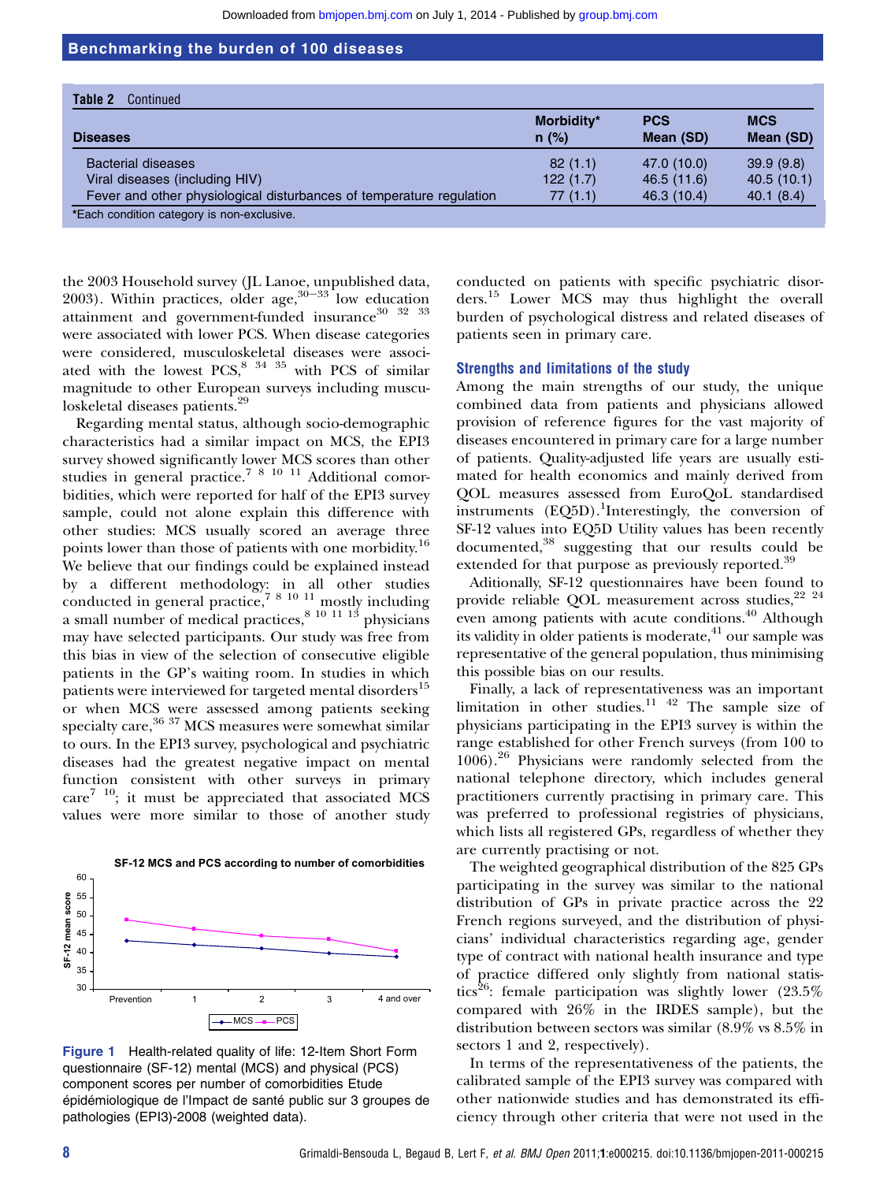| Table 2<br>Continued                                                 |                       |                         |                         |
|----------------------------------------------------------------------|-----------------------|-------------------------|-------------------------|
| <b>Diseases</b>                                                      | Morbidity*<br>$n$ (%) | <b>PCS</b><br>Mean (SD) | <b>MCS</b><br>Mean (SD) |
| <b>Bacterial diseases</b>                                            | 82(1.1)               | 47.0 (10.0)             | 39.9(9.8)               |
| Viral diseases (including HIV)                                       | 122(1.7)              | 46.5 (11.6)             | 40.5(10.1)              |
| Fever and other physiological disturbances of temperature regulation | 77(1.1)               | 46.3 (10.4)             | 40.1(8.4)               |
| *Each condition category is non-exclusive.                           |                       |                         |                         |

the 2003 Household survey (JL Lanoe, unpublished data, 2003). Within practices, older age,  $30-33$  low education attainment and government-funded insurance $30$   $32$   $33$ were associated with lower PCS. When disease categories were considered, musculoskeletal diseases were associated with the lowest  $PCS$ ,  $8^{34}$   $35$  with PCS of similar magnitude to other European surveys including musculoskeletal diseases patients.<sup>29</sup>

Regarding mental status, although socio-demographic characteristics had a similar impact on MCS, the EPI3 survey showed significantly lower MCS scores than other studies in general practice.<sup>7 8 10 11</sup> Additional comorbidities, which were reported for half of the EPI3 survey sample, could not alone explain this difference with other studies: MCS usually scored an average three points lower than those of patients with one morbidity.<sup>16</sup> We believe that our findings could be explained instead by a different methodology: in all other studies conducted in general practice,<sup>7 8 10 11</sup> mostly including a small number of medical practices,  $8^{10}$  11 13 physicians may have selected participants. Our study was free from this bias in view of the selection of consecutive eligible patients in the GP's waiting room. In studies in which patients were interviewed for targeted mental disorders<sup>15</sup> or when MCS were assessed among patients seeking specialty care,<sup>36 37</sup> MCS measures were somewhat similar to ours. In the EPI3 survey, psychological and psychiatric diseases had the greatest negative impact on mental function consistent with other surveys in primary care<sup>7 10</sup>; it must be appreciated that associated MCS values were more similar to those of another study



Figure 1 Health-related quality of life: 12-Item Short Form questionnaire (SF-12) mental (MCS) and physical (PCS) component scores per number of comorbidities Etude épidémiologique de l'Impact de santé public sur 3 groupes de pathologies (EPI3)-2008 (weighted data).

conducted on patients with specific psychiatric disorders.<sup>15</sup> Lower MCS may thus highlight the overall burden of psychological distress and related diseases of patients seen in primary care.

#### Strengths and limitations of the study

Among the main strengths of our study, the unique combined data from patients and physicians allowed provision of reference figures for the vast majority of diseases encountered in primary care for a large number of patients. Quality-adjusted life years are usually estimated for health economics and mainly derived from QOL measures assessed from EuroQoL standardised instruments (EQ5D).<sup>1</sup>Interestingly, the conversion of SF-12 values into EQ5D Utility values has been recently documented,<sup>38</sup> suggesting that our results could be extended for that purpose as previously reported.<sup>39</sup>

Aditionally, SF-12 questionnaires have been found to provide reliable QOL measurement across studies,  $22^{22}$ even among patients with acute conditions.<sup>40</sup> Although its validity in older patients is moderate, $41$  our sample was representative of the general population, thus minimising this possible bias on our results.

Finally, a lack of representativeness was an important limitation in other studies.<sup>11 42</sup> The sample size of physicians participating in the EPI3 survey is within the range established for other French surveys (from 100 to  $1006$ ).<sup>26</sup> Physicians were randomly selected from the national telephone directory, which includes general practitioners currently practising in primary care. This was preferred to professional registries of physicians, which lists all registered GPs, regardless of whether they are currently practising or not.

The weighted geographical distribution of the 825 GPs participating in the survey was similar to the national distribution of GPs in private practice across the 22 French regions surveyed, and the distribution of physicians' individual characteristics regarding age, gender type of contract with national health insurance and type of practice differed only slightly from national statistics<sup>26</sup>: female participation was slightly lower  $(23.5\%$ compared with 26% in the IRDES sample), but the distribution between sectors was similar (8.9% vs 8.5% in sectors 1 and 2, respectively).

In terms of the representativeness of the patients, the calibrated sample of the EPI3 survey was compared with other nationwide studies and has demonstrated its efficiency through other criteria that were not used in the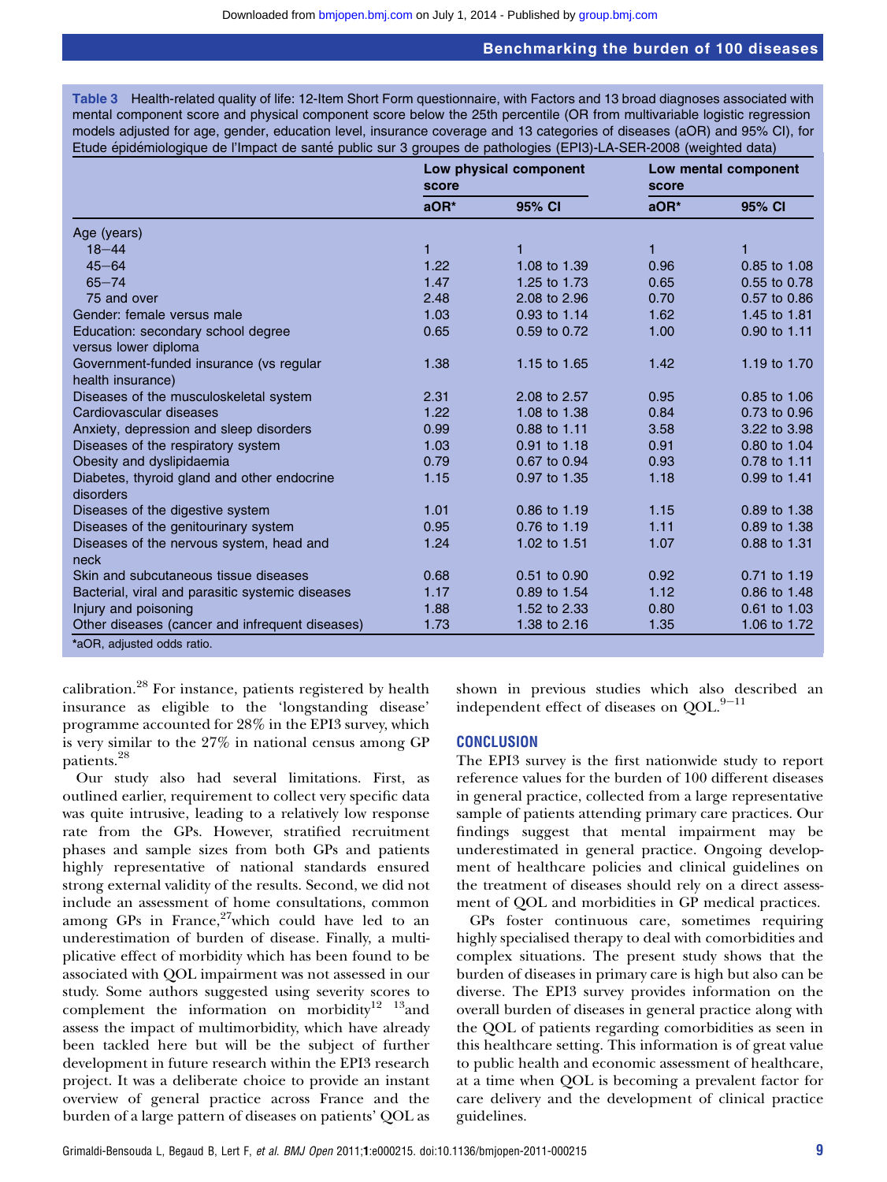Table 3 Health-related quality of life: 12-Item Short Form questionnaire, with Factors and 13 broad diagnoses associated with mental component score and physical component score below the 25th percentile (OR from multivariable logistic regression models adjusted for age, gender, education level, insurance coverage and 13 categories of diseases (aOR) and 95% CI), for Etude épidémiologique de l'Impact de santé public sur 3 groupes de pathologies (EPI3)-LA-SER-2008 (weighted data)

|                                                  | Low physical component<br>score |                  | Low mental component<br>score |                  |
|--------------------------------------------------|---------------------------------|------------------|-------------------------------|------------------|
|                                                  | $aOR*$                          | 95% CI           | $aOR*$                        | 95% CI           |
| Age (years)                                      |                                 |                  |                               |                  |
| $18 - 44$                                        |                                 |                  | 1                             |                  |
| $45 - 64$                                        | 1.22                            | 1.08 to 1.39     | 0.96                          | 0.85 to 1.08     |
| $65 - 74$                                        | 1.47                            | 1.25 to 1.73     | 0.65                          | 0.55 to 0.78     |
| 75 and over                                      | 2.48                            | 2.08 to 2.96     | 0.70                          | 0.57 to 0.86     |
| Gender: female versus male                       | 1.03                            | 0.93 to 1.14     | 1.62                          | 1.45 to 1.81     |
| Education: secondary school degree               | 0.65                            | 0.59 to 0.72     | 1.00                          | 0.90 to 1.11     |
| versus lower diploma                             |                                 |                  |                               |                  |
| Government-funded insurance (vs regular          | 1.38                            | 1.15 to 1.65     | 1.42                          | 1.19 to 1.70     |
| health insurance)                                |                                 |                  |                               |                  |
| Diseases of the musculoskeletal system           | 2.31                            | 2.08 to 2.57     | 0.95                          | 0.85 to 1.06     |
| Cardiovascular diseases                          | 1.22                            | 1.08 to 1.38     | 0.84                          | 0.73 to 0.96     |
| Anxiety, depression and sleep disorders          | 0.99                            | 0.88 to 1.11     | 3.58                          | 3.22 to 3.98     |
| Diseases of the respiratory system               | 1.03                            | 0.91 to 1.18     | 0.91                          | 0.80 to 1.04     |
| Obesity and dyslipidaemia                        | 0.79                            | 0.67 to 0.94     | 0.93                          | 0.78 to 1.11     |
| Diabetes, thyroid gland and other endocrine      | 1.15                            | 0.97 to 1.35     | 1.18                          | 0.99 to 1.41     |
| disorders                                        |                                 |                  |                               |                  |
| Diseases of the digestive system                 | 1.01                            | 0.86 to 1.19     | 1.15                          | 0.89 to 1.38     |
| Diseases of the genitourinary system             | 0.95                            | 0.76 to 1.19     | 1.11                          | 0.89 to 1.38     |
| Diseases of the nervous system, head and         | 1.24                            | 1.02 to 1.51     | 1.07                          | 0.88 to 1.31     |
| neck                                             |                                 |                  |                               |                  |
| Skin and subcutaneous tissue diseases            | 0.68                            | $0.51$ to $0.90$ | 0.92                          | $0.71$ to $1.19$ |
| Bacterial, viral and parasitic systemic diseases | 1.17                            | 0.89 to 1.54     | 1.12                          | 0.86 to 1.48     |
| Injury and poisoning                             | 1.88                            | 1.52 to 2.33     | 0.80                          | 0.61 to 1.03     |
| Other diseases (cancer and infrequent diseases)  | 1.73                            | 1.38 to 2.16     | 1.35                          | 1.06 to 1.72     |
| *aOR, adjusted odds ratio.                       |                                 |                  |                               |                  |

calibration.<sup>28</sup> For instance, patients registered by health insurance as eligible to the 'longstanding disease' programme accounted for 28% in the EPI3 survey, which is very similar to the 27% in national census among GP patients.<sup>28</sup>

Our study also had several limitations. First, as outlined earlier, requirement to collect very specific data was quite intrusive, leading to a relatively low response rate from the GPs. However, stratified recruitment phases and sample sizes from both GPs and patients highly representative of national standards ensured strong external validity of the results. Second, we did not include an assessment of home consultations, common among GPs in France, $27$ which could have led to an underestimation of burden of disease. Finally, a multiplicative effect of morbidity which has been found to be associated with QOL impairment was not assessed in our study. Some authors suggested using severity scores to complement the information on morbidity<sup>12</sup> <sup>13</sup>and assess the impact of multimorbidity, which have already been tackled here but will be the subject of further development in future research within the EPI3 research project. It was a deliberate choice to provide an instant overview of general practice across France and the burden of a large pattern of diseases on patients' QOL as

shown in previous studies which also described an independent effect of diseases on  $QOL.<sup>9-11</sup>$ 

## **CONCLUSION**

The EPI3 survey is the first nationwide study to report reference values for the burden of 100 different diseases in general practice, collected from a large representative sample of patients attending primary care practices. Our findings suggest that mental impairment may be underestimated in general practice. Ongoing development of healthcare policies and clinical guidelines on the treatment of diseases should rely on a direct assessment of QOL and morbidities in GP medical practices.

GPs foster continuous care, sometimes requiring highly specialised therapy to deal with comorbidities and complex situations. The present study shows that the burden of diseases in primary care is high but also can be diverse. The EPI3 survey provides information on the overall burden of diseases in general practice along with the QOL of patients regarding comorbidities as seen in this healthcare setting. This information is of great value to public health and economic assessment of healthcare, at a time when QOL is becoming a prevalent factor for care delivery and the development of clinical practice guidelines.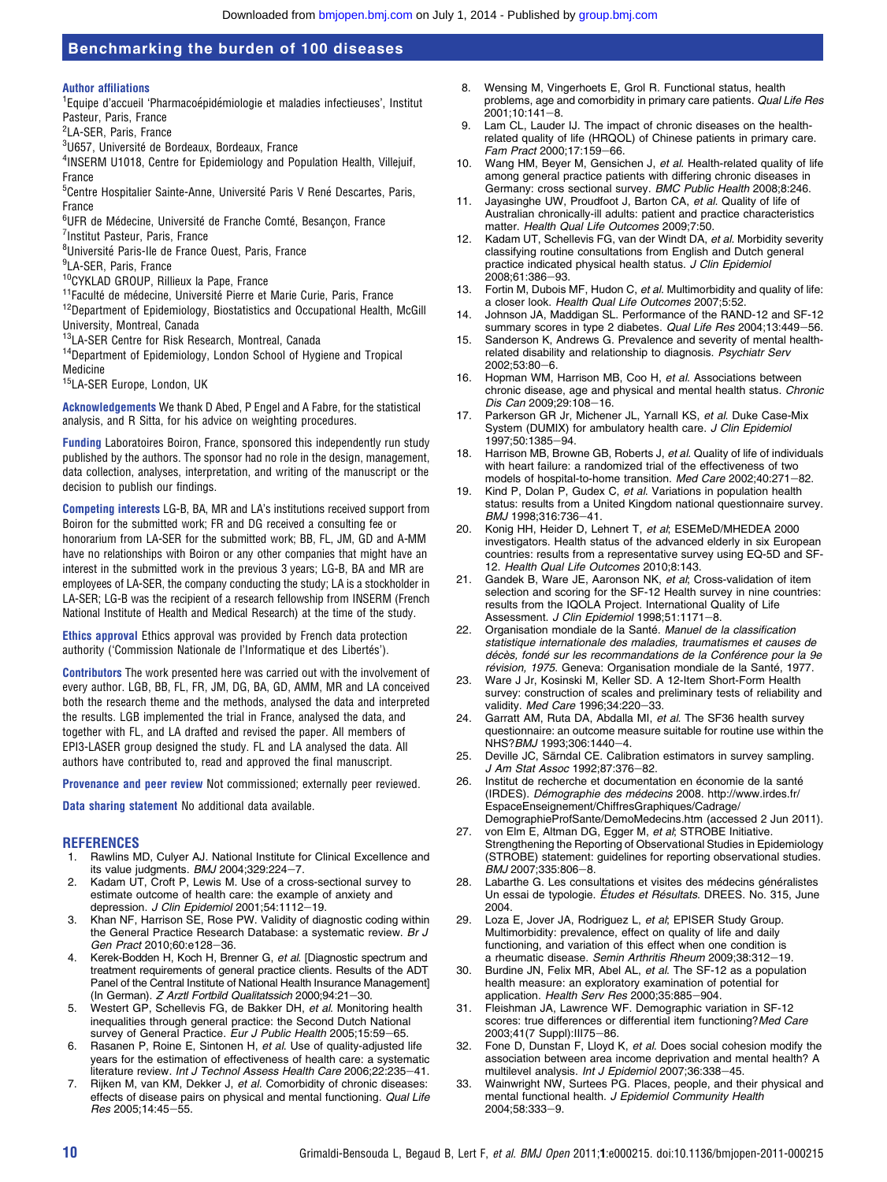### Author affiliations

<sup>1</sup> Equipe d'accueil 'Pharmacoépidémiologie et maladies infectieuses', Institut Pasteur, Paris, France

2 LA-SER, Paris, France

 $^3$ U657, Université de Bordeaux, Bordeaux, France

4 INSERM U1018, Centre for Epidemiology and Population Health, Villejuif, France

<sup>5</sup>Centre Hospitalier Sainte-Anne, Université Paris V René Descartes, Paris, France

<sup>6</sup>UFR de Médecine, Université de Franche Comté, Besançon, France

7 Institut Pasteur, Paris, France

<sup>8</sup>Université Paris-Ile de France Ouest, Paris, France

<sup>9</sup>LA-SER, Paris, France

10CYKLAD GROUP, Rillieux la Pape, France

<sup>11</sup> Faculté de médecine, Université Pierre et Marie Curie, Paris, France <sup>12</sup>Department of Epidemiology, Biostatistics and Occupational Health, McGill

University, Montreal, Canada

13LA-SER Centre for Risk Research, Montreal, Canada

14Department of Epidemiology, London School of Hygiene and Tropical Medicine

15LA-SER Europe, London, UK

Acknowledgements We thank D Abed, P Engel and A Fabre, for the statistical analysis, and R Sitta, for his advice on weighting procedures.

Funding Laboratoires Boiron, France, sponsored this independently run study published by the authors. The sponsor had no role in the design, management, data collection, analyses, interpretation, and writing of the manuscript or the decision to publish our findings.

Competing interests LG-B, BA, MR and LA's institutions received support from Boiron for the submitted work; FR and DG received a consulting fee or honorarium from LA-SER for the submitted work; BB, FL, JM, GD and A-MM have no relationships with Boiron or any other companies that might have an interest in the submitted work in the previous 3 years; LG-B, BA and MR are employees of LA-SER, the company conducting the study; LA is a stockholder in LA-SER; LG-B was the recipient of a research fellowship from INSERM (French National Institute of Health and Medical Research) at the time of the study.

Ethics approval Ethics approval was provided by French data protection authority ('Commission Nationale de l'Informatique et des Libertés').

Contributors The work presented here was carried out with the involvement of every author. LGB, BB, FL, FR, JM, DG, BA, GD, AMM, MR and LA conceived both the research theme and the methods, analysed the data and interpreted the results. LGB implemented the trial in France, analysed the data, and together with FL, and LA drafted and revised the paper. All members of EPI3-LASER group designed the study. FL and LA analysed the data. All authors have contributed to, read and approved the final manuscript.

Provenance and peer review Not commissioned; externally peer reviewed.

Data sharing statement No additional data available.

# **REFERENCES**

- 1. Rawlins MD, Culyer AJ. National Institute for Clinical Excellence and its value judgments.  $BMJ$  2004;329:224-7.
- Kadam UT, Croft P, Lewis M. Use of a cross-sectional survey to estimate outcome of health care: the example of anxiety and depression. J Clin Epidemiol 2001;54:1112-19.
- 3. Khan NF, Harrison SE, Rose PW. Validity of diagnostic coding within the General Practice Research Database: a systematic review. Br J Gen Pract 2010;60:e128-36.
- 4. Kerek-Bodden H, Koch H, Brenner G, et al. [Diagnostic spectrum and treatment requirements of general practice clients. Results of the ADT Panel of the Central Institute of National Health Insurance Management] (In German).  $Z$  Arztl Fortbild Qualitatssich 2000;94:21-30.
- 5. Westert GP, Schellevis FG, de Bakker DH, et al. Monitoring health inequalities through general practice: the Second Dutch National survey of General Practice. Eur J Public Health 2005;15:59-65.
- 6. Rasanen P, Roine E, Sintonen H, et al. Use of quality-adjusted life years for the estimation of effectiveness of health care: a systematic literature review. Int J Technol Assess Health Care 2006;22:235-41.
- 7. Rijken M, van KM, Dekker J, et al. Comorbidity of chronic diseases: effects of disease pairs on physical and mental functioning. Qual Life Res 2005;14:45-55.
- 8. Wensing M, Vingerhoets E, Grol R. Functional status, health problems, age and comorbidity in primary care patients. Qual Life Res 2001;10:141-8.
- 9. Lam CL, Lauder IJ. The impact of chronic diseases on the healthrelated quality of life (HRQOL) of Chinese patients in primary care. Fam Pract 2000:17:159-66.
- 10. Wang HM, Beyer M, Gensichen J, et al. Health-related quality of life among general practice patients with differing chronic diseases in Germany: cross sectional survey. BMC Public Health 2008;8:246.
- 11. Jayasinghe UW, Proudfoot J, Barton CA, et al. Quality of life of Australian chronically-ill adults: patient and practice characteristics matter. Health Qual Life Outcomes 2009;7:50.
- 12. Kadam UT, Schellevis FG, van der Windt DA, et al. Morbidity severity classifying routine consultations from English and Dutch general practice indicated physical health status. J Clin Epidemiol  $2008:61:386 - 93.$
- 13. Fortin M, Dubois MF, Hudon C, et al. Multimorbidity and quality of life: a closer look. Health Qual Life Outcomes 2007;5:52.
- 14. Johnson JA, Maddigan SL. Performance of the RAND-12 and SF-12 summary scores in type 2 diabetes. Qual Life Res 2004;13:449-56.
- 15. Sanderson K, Andrews G. Prevalence and severity of mental healthrelated disability and relationship to diagnosis. Psychiatr Serv 2002;53:80-6.
- 16. Hopman WM, Harrison MB, Coo H, et al. Associations between chronic disease, age and physical and mental health status. Chronic Dis Can 2009;29:108-16.
- 17. Parkerson GR Jr, Michener JL, Yarnall KS, et al. Duke Case-Mix System (DUMIX) for ambulatory health care. J Clin Epidemiol 1997;50:1385-94.
- 18. Harrison MB, Browne GB, Roberts J, et al. Quality of life of individuals with heart failure: a randomized trial of the effectiveness of two models of hospital-to-home transition. Med Care 2002;40:271-82.
- 19. Kind P, Dolan P, Gudex C, et al. Variations in population health status: results from a United Kingdom national questionnaire survey. BMJ 1998:316:736-41.
- 20. Konig HH, Heider D, Lehnert T, et al; ESEMeD/MHEDEA 2000 investigators. Health status of the advanced elderly in six European countries: results from a representative survey using EQ-5D and SF-12. Health Qual Life Outcomes 2010;8:143.
- 21. Gandek B, Ware JE, Aaronson NK, et al; Cross-validation of item selection and scoring for the SF-12 Health survey in nine countries: results from the IQOLA Project. International Quality of Life Assessment. J Clin Epidemiol 1998;51:1171-8.
- 22. Organisation mondiale de la Santé. Manuel de la classification statistique internationale des maladies, traumatismes et causes de décès, fondé sur les recommandations de la Conférence pour la 9e révision, 1975. Geneva: Organisation mondiale de la Santé, 1977.
- 23. Ware J Jr, Kosinski M, Keller SD. A 12-Item Short-Form Health survey: construction of scales and preliminary tests of reliability and validity. Med Care 1996;34:220-33.
- 24. Garratt AM, Ruta DA, Abdalla MI, et al. The SF36 health survey questionnaire: an outcome measure suitable for routine use within the NHS?BMJ 1993;306:1440-4.
- 25. Deville JC, Särndal CE. Calibration estimators in survey sampling. J Am Stat Assoc 1992;87:376-82.
- 26. Institut de recherche et documentation en économie de la santé (IRDES). Démographie des médecins 2008. http://www.irdes.fr/ EspaceEnseignement/ChiffresGraphiques/Cadrage/ DemographieProfSante/DemoMedecins.htm (accessed 2 Jun 2011).
- 27. von Elm E, Altman DG, Egger M, et al; STROBE Initiative. Strengthening the Reporting of Observational Studies in Epidemiology (STROBE) statement: guidelines for reporting observational studies. BMJ 2007;335:806-8.
- 28. Labarthe G. Les consultations et visites des médecins généralistes Un essai de typologie. Études et Résultats. DREES. No. 315, June 2004.
- 29. Loza E, Jover JA, Rodriguez L, et al; EPISER Study Group. Multimorbidity: prevalence, effect on quality of life and daily functioning, and variation of this effect when one condition is a rheumatic disease. Semin Arthritis Rheum 2009;38:312-19.
- 30. Burdine JN, Felix MR, Abel AL, et al. The SF-12 as a population health measure: an exploratory examination of potential for application. Health Serv Res 2000;35:885-904.
- 31. Fleishman JA, Lawrence WF. Demographic variation in SF-12 scores: true differences or differential item functioning? Med Care 2003;41(7 Suppl):III75-86.
- 32. Fone D, Dunstan F, Lloyd K, et al. Does social cohesion modify the association between area income deprivation and mental health? A multilevel analysis. Int J Epidemiol 2007;36:338-45.
- 33. Wainwright NW, Surtees PG. Places, people, and their physical and mental functional health. J Epidemiol Community Health 2004;58:333-9.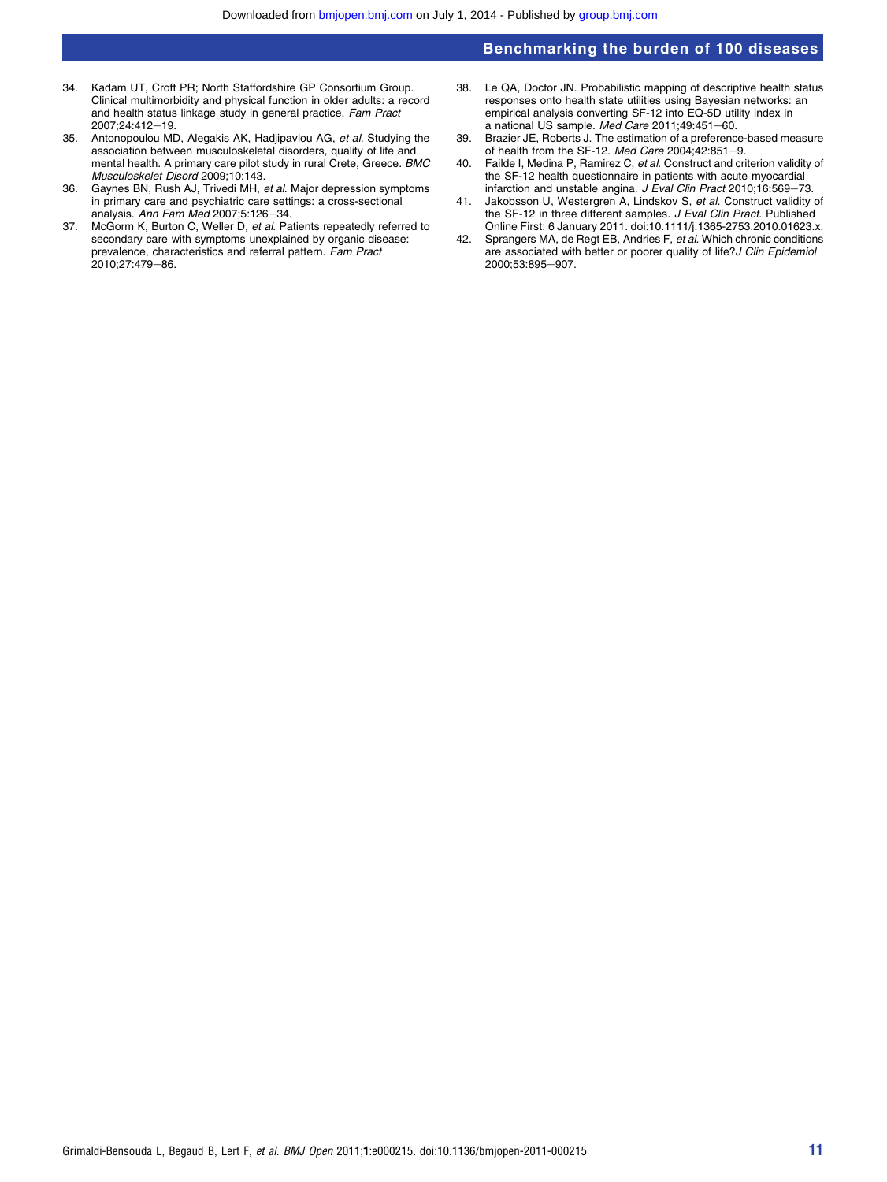- 34. Kadam UT, Croft PR; North Staffordshire GP Consortium Group. Clinical multimorbidity and physical function in older adults: a record and health status linkage study in general practice. Fam Pract 2007;24:412-19.
- 35. Antonopoulou MD, Alegakis AK, Hadjipavlou AG, et al. Studying the association between musculoskeletal disorders, quality of life and mental health. A primary care pilot study in rural Crete, Greece. BMC Musculoskelet Disord 2009;10:143.
- 36. Gaynes BN, Rush AJ, Trivedi MH, et al. Major depression symptoms in primary care and psychiatric care settings: a cross-sectional analysis. Ann Fam Med 2007;5:126-34.
- 37. McGorm K, Burton C, Weller D, et al. Patients repeatedly referred to secondary care with symptoms unexplained by organic disease: prevalence, characteristics and referral pattern. Fam Pract  $2010:27:479-86.$
- 38. Le QA, Doctor JN. Probabilistic mapping of descriptive health status responses onto health state utilities using Bayesian networks: an empirical analysis converting SF-12 into EQ-5D utility index in a national US sample. Med Care 2011;49:451-60.
- 39. Brazier JE, Roberts J. The estimation of a preference-based measure of health from the SF-12. Med Care  $2004;42:851-9$ .
- 40. Failde I, Medina P, Ramirez C, et al. Construct and criterion validity of the SF-12 health questionnaire in patients with acute myocardial infarction and unstable angina.  $J$  Eval Clin Pract 2010;16:569-73.
- 41. Jakobsson U, Westergren A, Lindskov S, et al. Construct validity of the SF-12 in three different samples. *J Eval Clin Pract*. Published Online First: 6 January 2011. doi:10.1111/j.1365-2753.2010.01623.x.
- 42. Sprangers MA, de Regt EB, Andries F, et al. Which chronic conditions are associated with better or poorer quality of life?J Clin Epidemiol 2000:53:895-907.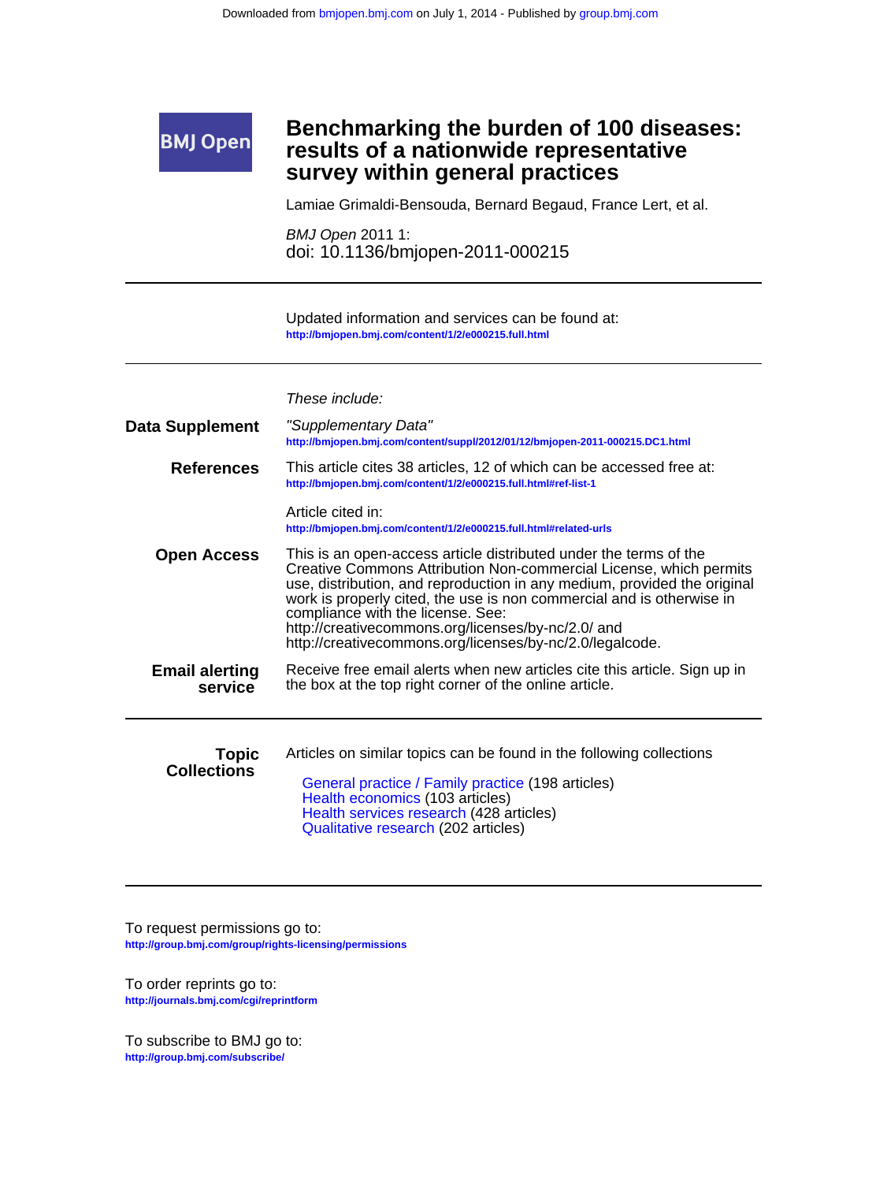# **survey within general practices results of a nationwide representative Benchmarking the burden of 100 diseases:**

Lamiae Grimaldi-Bensouda, Bernard Begaud, France Lert, et al.

doi: 10.1136/bmjopen-2011-000215 BMJ Open 2011 1:

**<http://bmjopen.bmj.com/content/1/2/e000215.full.html>** Updated information and services can be found at:

|                                    | These include:                                                                                                                                                                                                                                                                                                                                                                                                                                      |
|------------------------------------|-----------------------------------------------------------------------------------------------------------------------------------------------------------------------------------------------------------------------------------------------------------------------------------------------------------------------------------------------------------------------------------------------------------------------------------------------------|
| <b>Data Supplement</b>             | "Supplementary Data"<br>http://bmjopen.bmj.com/content/suppl/2012/01/12/bmjopen-2011-000215.DC1.html                                                                                                                                                                                                                                                                                                                                                |
| <b>References</b>                  | This article cites 38 articles, 12 of which can be accessed free at:<br>http://bmjopen.bmj.com/content/1/2/e000215.full.html#ref-list-1                                                                                                                                                                                                                                                                                                             |
|                                    | Article cited in:<br>http://bmjopen.bmj.com/content/1/2/e000215.full.html#related-urls                                                                                                                                                                                                                                                                                                                                                              |
| <b>Open Access</b>                 | This is an open-access article distributed under the terms of the<br>Creative Commons Attribution Non-commercial License, which permits<br>use, distribution, and reproduction in any medium, provided the original<br>work is properly cited, the use is non commercial and is otherwise in<br>compliance with the license. See:<br>http://creativecommons.org/licenses/by-nc/2.0/ and<br>http://creativecommons.org/licenses/by-nc/2.0/legalcode. |
| <b>Email alerting</b><br>service   | Receive free email alerts when new articles cite this article. Sign up in<br>the box at the top right corner of the online article.                                                                                                                                                                                                                                                                                                                 |
| <b>Topic</b><br><b>Collections</b> | Articles on similar topics can be found in the following collections<br>General practice / Family practice (198 articles)<br>Health economics (103 articles)<br>Health services research (428 articles)<br>Qualitative research (202 articles)                                                                                                                                                                                                      |

**<http://group.bmj.com/group/rights-licensing/permissions>** To request permissions go to:

**<http://journals.bmj.com/cgi/reprintform>** To order reprints go to:

**BMJ Open** 

**<http://group.bmj.com/subscribe/>** To subscribe to BMJ go to: